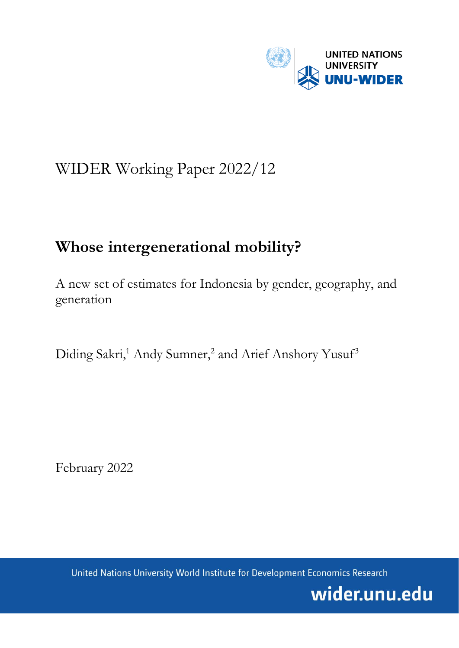

# WIDER Working Paper 2022/12

# **Whose intergenerational mobility?**

A new set of estimates for Indonesia by gender, geography, and generation

Diding Sakri,<sup>1</sup> Andy Sumner,<sup>2</sup> and Arief Anshory Yusuf<sup>3</sup>

February 2022

United Nations University World Institute for Development Economics Research

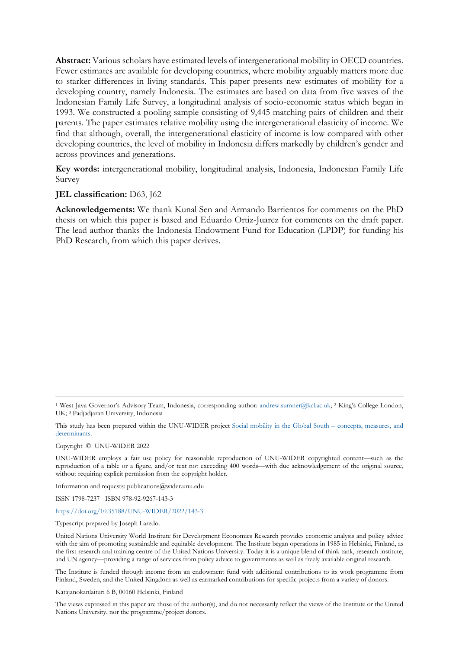**Abstract:** Various scholars have estimated levels of intergenerational mobility in OECD countries. Fewer estimates are available for developing countries, where mobility arguably matters more due to starker differences in living standards. This paper presents new estimates of mobility for a developing country, namely Indonesia. The estimates are based on data from five waves of the Indonesian Family Life Survey, a longitudinal analysis of socio-economic status which began in 1993. We constructed a pooling sample consisting of 9,445 matching pairs of children and their parents. The paper estimates relative mobility using the intergenerational elasticity of income. We find that although, overall, the intergenerational elasticity of income is low compared with other developing countries, the level of mobility in Indonesia differs markedly by children's gender and across provinces and generations.

**Key words:** intergenerational mobility, longitudinal analysis, Indonesia, Indonesian Family Life Survey

#### **JEL classification:** D63, J62

**Acknowledgements:** We thank Kunal Sen and Armando Barrientos for comments on the PhD thesis on which this paper is based and Eduardo Ortiz-Juarez for comments on the draft paper. The lead author thanks the Indonesia Endowment Fund for Education (LPDP) for funding his PhD Research, from which this paper derives.

Copyright © UNU-WIDER 2022

Information and requests: publications@wider.unu.edu

ISSN 1798-7237 ISBN 978-92-9267-143-3

### <https://doi.org/10.35188/UNU-WIDER/2022/143-3>

Typescript prepared by Joseph Laredo.

The Institute is funded through income from an endowment fund with additional contributions to its work programme from Finland, Sweden, and the United Kingdom as well as earmarked contributions for specific projects from a variety of donors.

Katajanokanlaituri 6 B, 00160 Helsinki, Finland

The views expressed in this paper are those of the author(s), and do not necessarily reflect the views of the Institute or the United Nations University, nor the programme/project donors.

<sup>1</sup> West Java Governor's Advisory Team, Indonesia, corresponding author: [andrew.sumner@kcl.ac.uk;](mailto:andrew.sumner@kcl.ac.uk) 2 King's College London, UK; 3 Padjadjaran University, Indonesia

This study has been prepared within the UNU-WIDER project [Social mobility in the Global South – concepts, measures, and](https://www.wider.unu.edu/node/187591)  [determinants.](https://www.wider.unu.edu/node/187591) 

UNU-WIDER employs a fair use policy for reasonable reproduction of UNU-WIDER copyrighted content—such as the reproduction of a table or a figure, and/or text not exceeding 400 words—with due acknowledgement of the original source, without requiring explicit permission from the copyright holder.

United Nations University World Institute for Development Economics Research provides economic analysis and policy advice with the aim of promoting sustainable and equitable development. The Institute began operations in 1985 in Helsinki, Finland, as the first research and training centre of the United Nations University. Today it is a unique blend of think tank, research institute, and UN agency—providing a range of services from policy advice to governments as well as freely available original research.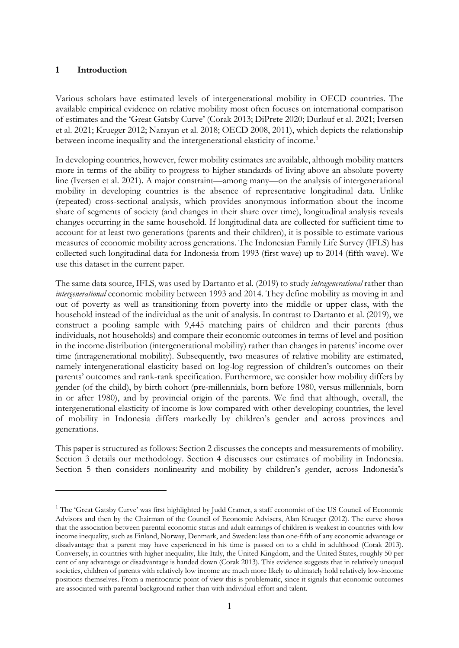## **1 Introduction**

Various scholars have estimated levels of intergenerational mobility in OECD countries. The available empirical evidence on relative mobility most often focuses on international comparison of estimates and the 'Great Gatsby Curve' (Corak 2013; DiPrete 2020; Durlauf et al. 2021; Iversen et al. 2021; Krueger 2012; Narayan et al. 2018; OECD 2008, 2011), which depicts the relationship between income inequality and the intergenerational elasticity of income.<sup>[1](#page-2-0)</sup>

In developing countries, however, fewer mobility estimates are available, although mobility matters more in terms of the ability to progress to higher standards of living above an absolute poverty line (Iversen et al. 2021). A major constraint—among many—on the analysis of intergenerational mobility in developing countries is the absence of representative longitudinal data. Unlike (repeated) cross-sectional analysis, which provides anonymous information about the income share of segments of society (and changes in their share over time), longitudinal analysis reveals changes occurring in the same household. If longitudinal data are collected for sufficient time to account for at least two generations (parents and their children), it is possible to estimate various measures of economic mobility across generations. The Indonesian Family Life Survey (IFLS) has collected such longitudinal data for Indonesia from 1993 (first wave) up to 2014 (fifth wave). We use this dataset in the current paper.

The same data source, IFLS, was used by Dartanto et al. (2019) to study *intragenerational* rather than *intergenerational* economic mobility between 1993 and 2014. They define mobility as moving in and out of poverty as well as transitioning from poverty into the middle or upper class, with the household instead of the individual as the unit of analysis. In contrast to Dartanto et al. (2019), we construct a pooling sample with 9,445 matching pairs of children and their parents (thus individuals, not households) and compare their economic outcomes in terms of level and position in the income distribution (intergenerational mobility) rather than changes in parents' income over time (intragenerational mobility). Subsequently, two measures of relative mobility are estimated, namely intergenerational elasticity based on log-log regression of children's outcomes on their parents' outcomes and rank-rank specification. Furthermore, we consider how mobility differs by gender (of the child), by birth cohort (pre-millennials, born before 1980, versus millennials, born in or after 1980), and by provincial origin of the parents. We find that although, overall, the intergenerational elasticity of income is low compared with other developing countries, the level of mobility in Indonesia differs markedly by children's gender and across provinces and generations.

This paper is structured as follows: Section 2 discusses the concepts and measurements of mobility. Section 3 details our methodology. Section 4 discusses our estimates of mobility in Indonesia. Section 5 then considers nonlinearity and mobility by children's gender, across Indonesia's

<span id="page-2-0"></span><sup>&</sup>lt;sup>1</sup> The 'Great Gatsby Curve' was first highlighted by Judd Cramer, a staff economist of the US Council of Economic Advisors and then by the Chairman of the Council of Economic Advisers, Alan Krueger (2012). The curve shows that the association between parental economic status and adult earnings of children is weakest in countries with low income inequality, such as Finland, Norway, Denmark, and Sweden: less than one-fifth of any economic advantage or disadvantage that a parent may have experienced in his time is passed on to a child in adulthood (Corak 2013). Conversely, in countries with higher inequality, like Italy, the United Kingdom, and the United States, roughly 50 per cent of any advantage or disadvantage is handed down (Corak 2013). This evidence suggests that in relatively unequal societies, children of parents with relatively low income are much more likely to ultimately hold relatively low-income positions themselves. From a meritocratic point of view this is problematic, since it signals that economic outcomes are associated with parental background rather than with individual effort and talent.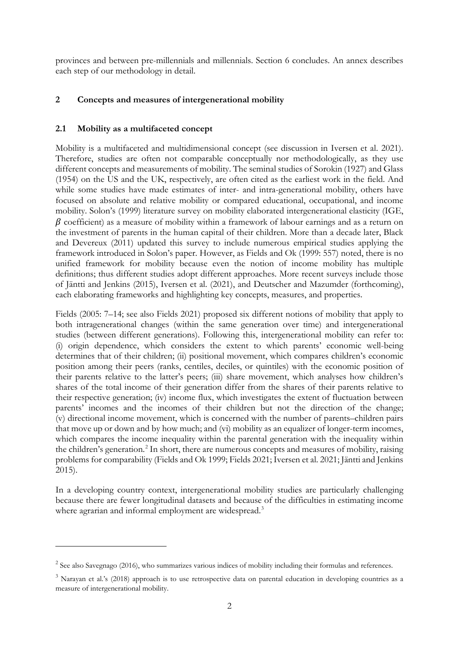provinces and between pre-millennials and millennials. Section 6 concludes. An annex describes each step of our methodology in detail.

# **2 Concepts and measures of intergenerational mobility**

# **2.1 Mobility as a multifaceted concept**

Mobility is a multifaceted and multidimensional concept (see discussion in Iversen et al. 2021). Therefore, studies are often not comparable conceptually nor methodologically, as they use different concepts and measurements of mobility. The seminal studies of Sorokin (1927) and Glass (1954) on the US and the UK, respectively, are often cited as the earliest work in the field. And while some studies have made estimates of inter- and intra-generational mobility, others have focused on absolute and relative mobility or compared educational, occupational, and income mobility. Solon's (1999) literature survey on mobility elaborated intergenerational elasticity (IGE,  $\beta$  coefficient) as a measure of mobility within a framework of labour earnings and as a return on the investment of parents in the human capital of their children. More than a decade later, Black and Devereux (2011) updated this survey to include numerous empirical studies applying the framework introduced in Solon's paper. However, as Fields and Ok (1999: 557) noted, there is no unified framework for mobility because even the notion of income mobility has multiple definitions; thus different studies adopt different approaches. More recent surveys include those of Jäntti and Jenkins (2015), Iversen et al. (2021), and Deutscher and Mazumder (forthcoming), each elaborating frameworks and highlighting key concepts, measures, and properties.

Fields (2005: 7–14; see also Fields 2021) proposed six different notions of mobility that apply to both intragenerational changes (within the same generation over time) and intergenerational studies (between different generations). Following this, intergenerational mobility can refer to: (i) origin dependence, which considers the extent to which parents' economic well-being determines that of their children; (ii) positional movement, which compares children's economic position among their peers (ranks, centiles, deciles, or quintiles) with the economic position of their parents relative to the latter's peers; (iii) share movement, which analyses how children's shares of the total income of their generation differ from the shares of their parents relative to their respective generation; (iv) income flux, which investigates the extent of fluctuation between parents' incomes and the incomes of their children but not the direction of the change; (v) directional income movement, which is concerned with the number of parents–children pairs that move up or down and by how much; and (vi) mobility as an equalizer of longer-term incomes, which compares the income inequality within the parental generation with the inequality within the children's generation.<sup>[2](#page-3-0)</sup> In short, there are numerous concepts and measures of mobility, raising problems for comparability (Fields and Ok 1999; Fields 2021; Iversen et al. 2021; Jäntti and Jenkins 2015).

In a developing country context, intergenerational mobility studies are particularly challenging because there are fewer longitudinal datasets and because of the difficulties in estimating income where agrarian and informal employment are widespread.<sup>[3](#page-3-1)</sup>

<span id="page-3-0"></span><sup>&</sup>lt;sup>2</sup> See also Savegnago (2016), who summarizes various indices of mobility including their formulas and references.

<span id="page-3-1"></span><sup>&</sup>lt;sup>3</sup> Narayan et al.'s (2018) approach is to use retrospective data on parental education in developing countries as a measure of intergenerational mobility.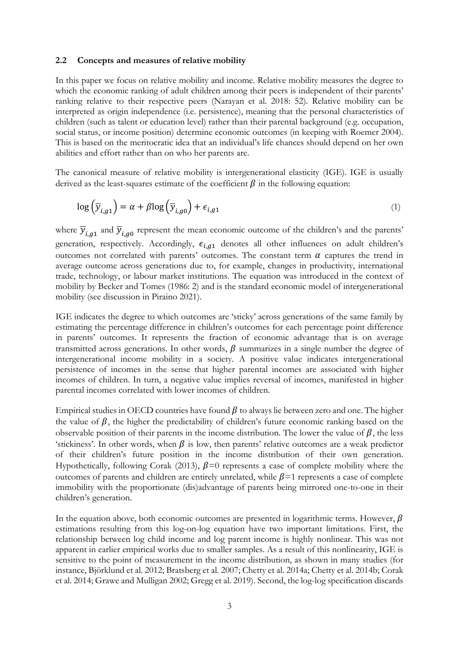#### **2.2 Concepts and measures of relative mobility**

In this paper we focus on relative mobility and income. Relative mobility measures the degree to which the economic ranking of adult children among their peers is independent of their parents' ranking relative to their respective peers (Narayan et al. 2018: 52). Relative mobility can be interpreted as origin independence (i.e. persistence), meaning that the personal characteristics of children (such as talent or education level) rather than their parental background (e.g. occupation, social status, or income position) determine economic outcomes (in keeping with Roemer 2004). This is based on the meritocratic idea that an individual's life chances should depend on her own abilities and effort rather than on who her parents are.

The canonical measure of relative mobility is intergenerational elasticity (IGE). IGE is usually derived as the least-squares estimate of the coefficient  $\beta$  in the following equation:

$$
\log\left(\overline{y}_{i,g1}\right) = \alpha + \beta \log\left(\overline{y}_{i,g0}\right) + \epsilon_{i,g1} \tag{1}
$$

where  $\overline{y}_{i,q1}$  and  $\overline{y}_{i,q0}$  represent the mean economic outcome of the children's and the parents' generation, respectively. Accordingly,  $\epsilon_{i,q1}$  denotes all other influences on adult children's outcomes not correlated with parents' outcomes. The constant term  $\alpha$  captures the trend in average outcome across generations due to, for example, changes in productivity, international trade, technology, or labour market institutions. The equation was introduced in the context of mobility by Becker and Tomes (1986: 2) and is the standard economic model of intergenerational mobility (see discussion in Piraino 2021).

IGE indicates the degree to which outcomes are 'sticky' across generations of the same family by estimating the percentage difference in children's outcomes for each percentage point difference in parents' outcomes. It represents the fraction of economic advantage that is on average transmitted across generations. In other words,  $\beta$  summarizes in a single number the degree of intergenerational income mobility in a society. A positive value indicates intergenerational persistence of incomes in the sense that higher parental incomes are associated with higher incomes of children. In turn, a negative value implies reversal of incomes, manifested in higher parental incomes correlated with lower incomes of children.

Empirical studies in OECD countries have found  $\beta$  to always lie between zero and one. The higher the value of  $\beta$ , the higher the predictability of children's future economic ranking based on the observable position of their parents in the income distribution. The lower the value of  $\beta$ , the less 'stickiness'. In other words, when  $\beta$  is low, then parents' relative outcomes are a weak predictor of their children's future position in the income distribution of their own generation. Hypothetically, following Corak (2013),  $\beta$ =0 represents a case of complete mobility where the outcomes of parents and children are entirely unrelated, while  $\beta$ =1 represents a case of complete immobility with the proportionate (dis)advantage of parents being mirrored one-to-one in their children's generation.

In the equation above, both economic outcomes are presented in logarithmic terms. However,  $\beta$ estimations resulting from this log-on-log equation have two important limitations. First, the relationship between log child income and log parent income is highly nonlinear. This was not apparent in earlier empirical works due to smaller samples. As a result of this nonlinearity, IGE is sensitive to the point of measurement in the income distribution, as shown in many studies (for instance, Björklund et al. 2012; Bratsberg et al. 2007; Chetty et al. 2014a; Chetty et al. 2014b; Corak et al. 2014; Grawe and Mulligan 2002; Gregg et al. 2019). Second, the log-log specification discards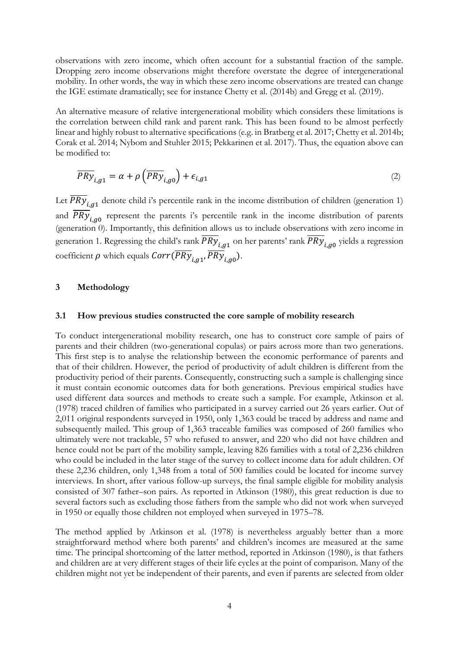observations with zero income, which often account for a substantial fraction of the sample. Dropping zero income observations might therefore overstate the degree of intergenerational mobility. In other words, the way in which these zero income observations are treated can change the IGE estimate dramatically; see for instance Chetty et al. (2014b) and Gregg et al. (2019).

An alternative measure of relative intergenerational mobility which considers these limitations is the correlation between child rank and parent rank. This has been found to be almost perfectly linear and highly robust to alternative specifications (e.g. in Bratberg et al. 2017; Chetty et al. 2014b; Corak et al. 2014; Nybom and Stuhler 2015; Pekkarinen et al. 2017). Thus, the equation above can be modified to:

$$
\overline{PRy}_{i,g1} = \alpha + \rho \left( \overline{PRy}_{i,g0} \right) + \epsilon_{i,g1}
$$
 (2)

Let  $\overline{PRy}_{i,q1}$  denote child i's percentile rank in the income distribution of children (generation 1) and  $\overline{PRy}_{i,q0}$  represent the parents i's percentile rank in the income distribution of parents (generation 0). Importantly, this definition allows us to include observations with zero income in generation 1. Regressing the child's rank  $\overline{PRy}_{i,q1}$  on her parents' rank  $\overline{PRy}_{i,q0}$  yields a regression coefficient  $\rho$  which equals  $Corr(\overline{PRy}_{i,q1}, \overline{PRy}_{i,q0}).$ 

#### **3 Methodology**

#### **3.1 How previous studies constructed the core sample of mobility research**

To conduct intergenerational mobility research, one has to construct core sample of pairs of parents and their children (two-generational copulas) or pairs across more than two generations. This first step is to analyse the relationship between the economic performance of parents and that of their children. However, the period of productivity of adult children is different from the productivity period of their parents. Consequently, constructing such a sample is challenging since it must contain economic outcomes data for both generations. Previous empirical studies have used different data sources and methods to create such a sample. For example, Atkinson et al. (1978) traced children of families who participated in a survey carried out 26 years earlier. Out of 2,011 original respondents surveyed in 1950, only 1,363 could be traced by address and name and subsequently mailed. This group of 1,363 traceable families was composed of 260 families who ultimately were not trackable, 57 who refused to answer, and 220 who did not have children and hence could not be part of the mobility sample, leaving 826 families with a total of 2,236 children who could be included in the later stage of the survey to collect income data for adult children. Of these 2,236 children, only 1,348 from a total of 500 families could be located for income survey interviews. In short, after various follow-up surveys, the final sample eligible for mobility analysis consisted of 307 father–son pairs. As reported in Atkinson (1980), this great reduction is due to several factors such as excluding those fathers from the sample who did not work when surveyed in 1950 or equally those children not employed when surveyed in 1975–78.

The method applied by Atkinson et al. (1978) is nevertheless arguably better than a more straightforward method where both parents' and children's incomes are measured at the same time. The principal shortcoming of the latter method, reported in Atkinson (1980), is that fathers and children are at very different stages of their life cycles at the point of comparison. Many of the children might not yet be independent of their parents, and even if parents are selected from older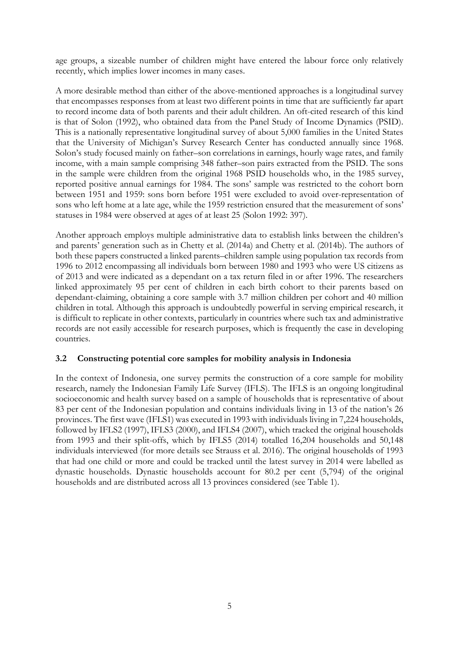age groups, a sizeable number of children might have entered the labour force only relatively recently, which implies lower incomes in many cases.

A more desirable method than either of the above-mentioned approaches is a longitudinal survey that encompasses responses from at least two different points in time that are sufficiently far apart to record income data of both parents and their adult children. An oft-cited research of this kind is that of Solon (1992), who obtained data from the Panel Study of Income Dynamics (PSID). This is a nationally representative longitudinal survey of about 5,000 families in the United States that the University of Michigan's Survey Research Center has conducted annually since 1968. Solon's study focused mainly on father–son correlations in earnings, hourly wage rates, and family income, with a main sample comprising 348 father–son pairs extracted from the PSID. The sons in the sample were children from the original 1968 PSID households who, in the 1985 survey, reported positive annual earnings for 1984. The sons' sample was restricted to the cohort born between 1951 and 1959: sons born before 1951 were excluded to avoid over-representation of sons who left home at a late age, while the 1959 restriction ensured that the measurement of sons' statuses in 1984 were observed at ages of at least 25 (Solon 1992: 397).

Another approach employs multiple administrative data to establish links between the children's and parents' generation such as in Chetty et al. (2014a) and Chetty et al. (2014b). The authors of both these papers constructed a linked parents–children sample using population tax records from 1996 to 2012 encompassing all individuals born between 1980 and 1993 who were US citizens as of 2013 and were indicated as a dependant on a tax return filed in or after 1996. The researchers linked approximately 95 per cent of children in each birth cohort to their parents based on dependant-claiming, obtaining a core sample with 3.7 million children per cohort and 40 million children in total. Although this approach is undoubtedly powerful in serving empirical research, it is difficult to replicate in other contexts, particularly in countries where such tax and administrative records are not easily accessible for research purposes, which is frequently the case in developing countries.

## **3.2 Constructing potential core samples for mobility analysis in Indonesia**

In the context of Indonesia, one survey permits the construction of a core sample for mobility research, namely the Indonesian Family Life Survey (IFLS). The IFLS is an ongoing longitudinal socioeconomic and health survey based on a sample of households that is representative of about 83 per cent of the Indonesian population and contains individuals living in 13 of the nation's 26 provinces. The first wave (IFLS1) was executed in 1993 with individuals living in 7,224 households, followed by IFLS2 (1997), IFLS3 (2000), and IFLS4 (2007), which tracked the original households from 1993 and their split-offs, which by IFLS5 (2014) totalled 16,204 households and 50,148 individuals interviewed (for more details see Strauss et al. 2016). The original households of 1993 that had one child or more and could be tracked until the latest survey in 2014 were labelled as dynastic households. Dynastic households account for 80.2 per cent (5,794) of the original households and are distributed across all 13 provinces considered (see Table 1).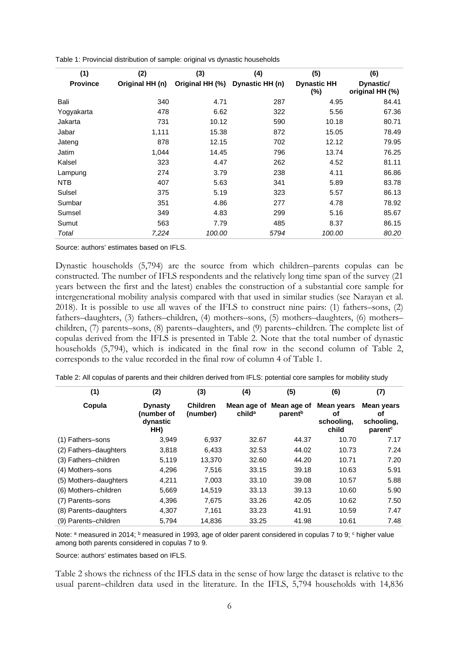| (1)             | (2)             | (3)             | (4)             | (5)                       | (6)                          |
|-----------------|-----------------|-----------------|-----------------|---------------------------|------------------------------|
| <b>Province</b> | Original HH (n) | Original HH (%) | Dynastic HH (n) | <b>Dynastic HH</b><br>(%) | Dynastic/<br>original HH (%) |
| Bali            | 340             | 4.71            | 287             | 4.95                      | 84.41                        |
| Yogyakarta      | 478             | 6.62            | 322             | 5.56                      | 67.36                        |
| Jakarta         | 731             | 10.12           | 590             | 10.18                     | 80.71                        |
| Jabar           | 1,111           | 15.38           | 872             | 15.05                     | 78.49                        |
| Jateng          | 878             | 12.15           | 702             | 12.12                     | 79.95                        |
| Jatim           | 1,044           | 14.45           | 796             | 13.74                     | 76.25                        |
| Kalsel          | 323             | 4.47            | 262             | 4.52                      | 81.11                        |
| Lampung         | 274             | 3.79            | 238             | 4.11                      | 86.86                        |
| NTB.            | 407             | 5.63            | 341             | 5.89                      | 83.78                        |
| Sulsel          | 375             | 5.19            | 323             | 5.57                      | 86.13                        |
| Sumbar          | 351             | 4.86            | 277             | 4.78                      | 78.92                        |
| Sumsel          | 349             | 4.83            | 299             | 5.16                      | 85.67                        |
| Sumut           | 563             | 7.79            | 485             | 8.37                      | 86.15                        |
| Total           | 7,224           | 100.00          | 5794            | 100.00                    | 80.20                        |

Table 1: Provincial distribution of sample: original vs dynastic households

Source: authors' estimates based on IFLS.

Dynastic households (5,794) are the source from which children–parents copulas can be constructed. The number of IFLS respondents and the relatively long time span of the survey (21 years between the first and the latest) enables the construction of a substantial core sample for intergenerational mobility analysis compared with that used in similar studies (see Narayan et al. 2018). It is possible to use all waves of the IFLS to construct nine pairs: (1) fathers–sons, (2) fathers–daughters, (3) fathers–children, (4) mothers–sons, (5) mothers–daughters, (6) mothers– children, (7) parents–sons, (8) parents–daughters, and (9) parents–children. The complete list of copulas derived from the IFLS is presented in Table 2. Note that the total number of dynastic households (5,794), which is indicated in the final row in the second column of Table 2, corresponds to the value recorded in the final row of column 4 of Table 1.

| (1)                   | (2)                                             | (3)                         | (4)                | (5)                                            | (6)                                            | (7)                                                   |
|-----------------------|-------------------------------------------------|-----------------------------|--------------------|------------------------------------------------|------------------------------------------------|-------------------------------------------------------|
| Copula                | <b>Dynasty</b><br>(number of<br>dynastic<br>HH) | <b>Children</b><br>(number) | child <sup>a</sup> | Mean age of Mean age of<br>parent <sup>b</sup> | <b>Mean years</b><br>оf<br>schooling,<br>child | Mean vears<br>οf<br>schooling,<br>parent <sup>c</sup> |
| (1) Fathers-sons      | 3,949                                           | 6,937                       | 32.67              | 44.37                                          | 10.70                                          | 7.17                                                  |
| (2) Fathers-daughters | 3,818                                           | 6,433                       | 32.53              | 44.02                                          | 10.73                                          | 7.24                                                  |
| (3) Fathers-children  | 5,119                                           | 13,370                      | 32.60              | 44.20                                          | 10.71                                          | 7.20                                                  |
| (4) Mothers-sons      | 4,296                                           | 7,516                       | 33.15              | 39.18                                          | 10.63                                          | 5.91                                                  |
| (5) Mothers-daughters | 4.211                                           | 7.003                       | 33.10              | 39.08                                          | 10.57                                          | 5.88                                                  |
| (6) Mothers-children  | 5,669                                           | 14,519                      | 33.13              | 39.13                                          | 10.60                                          | 5.90                                                  |
| (7) Parents-sons      | 4,396                                           | 7,675                       | 33.26              | 42.05                                          | 10.62                                          | 7.50                                                  |
| (8) Parents-daughters | 4.307                                           | 7.161                       | 33.23              | 41.91                                          | 10.59                                          | 7.47                                                  |
| (9) Parents-children  | 5.794                                           | 14,836                      | 33.25              | 41.98                                          | 10.61                                          | 7.48                                                  |

Table 2: All copulas of parents and their children derived from IFLS: potential core samples for mobility study

Note: a measured in 2014; <sup>b</sup> measured in 1993, age of older parent considered in copulas 7 to 9; <sup>c</sup> higher value among both parents considered in copulas 7 to 9.

Source: authors' estimates based on IFLS.

Table 2 shows the richness of the IFLS data in the sense of how large the dataset is relative to the usual parent–children data used in the literature. In the IFLS, 5,794 households with 14,836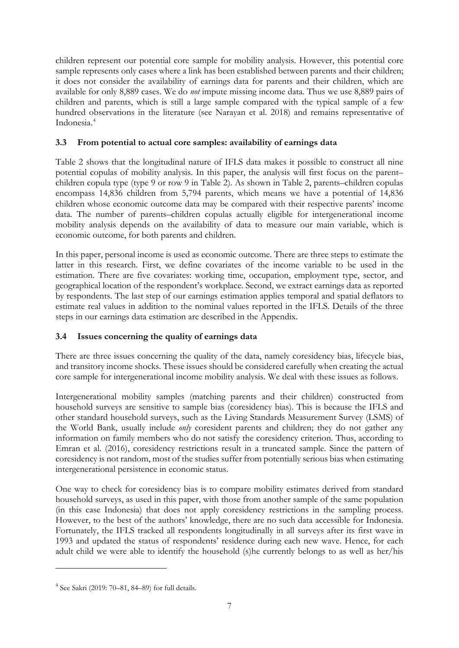children represent our potential core sample for mobility analysis. However, this potential core sample represents only cases where a link has been established between parents and their children; it does not consider the availability of earnings data for parents and their children, which are available for only 8,889 cases. We do *not* impute missing income data. Thus we use 8,889 pairs of children and parents, which is still a large sample compared with the typical sample of a few hundred observations in the literature (see Narayan et al. 2018) and remains representative of Indonesia.[4](#page-8-0)

# **3.3 From potential to actual core samples: availability of earnings data**

Table 2 shows that the longitudinal nature of IFLS data makes it possible to construct all nine potential copulas of mobility analysis. In this paper, the analysis will first focus on the parent– children copula type (type 9 or row 9 in Table 2). As shown in Table 2, parents–children copulas encompass 14,836 children from 5,794 parents, which means we have a potential of 14,836 children whose economic outcome data may be compared with their respective parents' income data. The number of parents–children copulas actually eligible for intergenerational income mobility analysis depends on the availability of data to measure our main variable, which is economic outcome, for both parents and children.

In this paper, personal income is used as economic outcome. There are three steps to estimate the latter in this research. First, we define covariates of the income variable to be used in the estimation. There are five covariates: working time, occupation, employment type, sector, and geographical location of the respondent's workplace. Second, we extract earnings data as reported by respondents. The last step of our earnings estimation applies temporal and spatial deflators to estimate real values in addition to the nominal values reported in the IFLS. Details of the three steps in our earnings data estimation are described in the Appendix.

# **3.4 Issues concerning the quality of earnings data**

There are three issues concerning the quality of the data, namely coresidency bias, lifecycle bias, and transitory income shocks. These issues should be considered carefully when creating the actual core sample for intergenerational income mobility analysis. We deal with these issues as follows.

Intergenerational mobility samples (matching parents and their children) constructed from household surveys are sensitive to sample bias (coresidency bias). This is because the IFLS and other standard household surveys, such as the Living Standards Measurement Survey (LSMS) of the World Bank, usually include *only* coresident parents and children; they do not gather any information on family members who do not satisfy the coresidency criterion. Thus, according to Emran et al. (2016), coresidency restrictions result in a truncated sample. Since the pattern of coresidency is not random, most of the studies suffer from potentially serious bias when estimating intergenerational persistence in economic status.

One way to check for coresidency bias is to compare mobility estimates derived from standard household surveys, as used in this paper, with those from another sample of the same population (in this case Indonesia) that does not apply coresidency restrictions in the sampling process. However, to the best of the authors' knowledge, there are no such data accessible for Indonesia. Fortunately, the IFLS tracked all respondents longitudinally in all surveys after its first wave in 1993 and updated the status of respondents' residence during each new wave. Hence, for each adult child we were able to identify the household (s)he currently belongs to as well as her/his

<span id="page-8-0"></span><sup>4</sup> See Sakri (2019: 70–81, 84–89) for full details.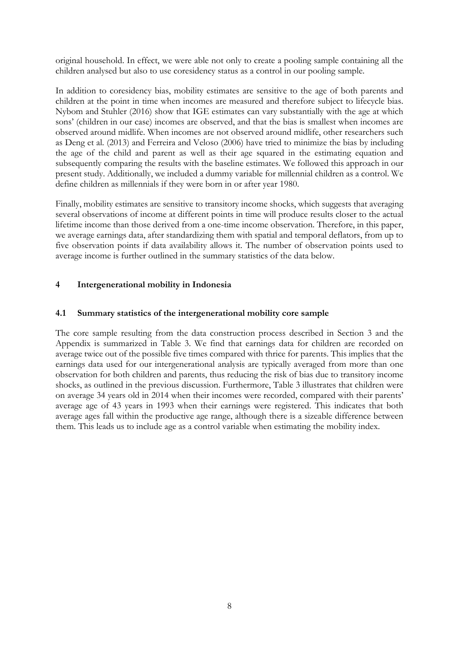original household. In effect, we were able not only to create a pooling sample containing all the children analysed but also to use coresidency status as a control in our pooling sample.

In addition to coresidency bias, mobility estimates are sensitive to the age of both parents and children at the point in time when incomes are measured and therefore subject to lifecycle bias. Nybom and Stuhler (2016) show that IGE estimates can vary substantially with the age at which sons' (children in our case) incomes are observed, and that the bias is smallest when incomes are observed around midlife. When incomes are not observed around midlife, other researchers such as Deng et al. (2013) and Ferreira and Veloso (2006) have tried to minimize the bias by including the age of the child and parent as well as their age squared in the estimating equation and subsequently comparing the results with the baseline estimates. We followed this approach in our present study. Additionally, we included a dummy variable for millennial children as a control. We define children as millennials if they were born in or after year 1980.

Finally, mobility estimates are sensitive to transitory income shocks, which suggests that averaging several observations of income at different points in time will produce results closer to the actual lifetime income than those derived from a one-time income observation. Therefore, in this paper, we average earnings data, after standardizing them with spatial and temporal deflators, from up to five observation points if data availability allows it. The number of observation points used to average income is further outlined in the summary statistics of the data below.

# **4 Intergenerational mobility in Indonesia**

## **4.1 Summary statistics of the intergenerational mobility core sample**

The core sample resulting from the data construction process described in Section 3 and the Appendix is summarized in Table 3. We find that earnings data for children are recorded on average twice out of the possible five times compared with thrice for parents. This implies that the earnings data used for our intergenerational analysis are typically averaged from more than one observation for both children and parents, thus reducing the risk of bias due to transitory income shocks, as outlined in the previous discussion. Furthermore, Table 3 illustrates that children were on average 34 years old in 2014 when their incomes were recorded, compared with their parents' average age of 43 years in 1993 when their earnings were registered. This indicates that both average ages fall within the productive age range, although there is a sizeable difference between them. This leads us to include age as a control variable when estimating the mobility index.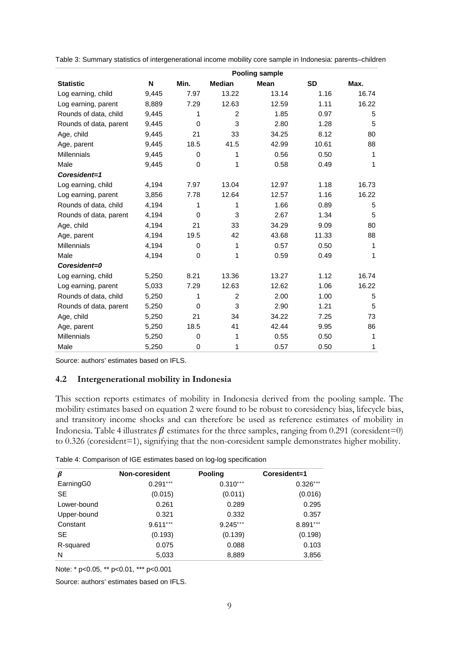Table 3: Summary statistics of intergenerational income mobility core sample in Indonesia: parents–children

|                        | <b>Pooling sample</b> |          |                |             |           |       |
|------------------------|-----------------------|----------|----------------|-------------|-----------|-------|
| <b>Statistic</b>       | N                     | Min.     | <b>Median</b>  | <b>Mean</b> | <b>SD</b> | Max.  |
| Log earning, child     | 9,445                 | 7.97     | 13.22          | 13.14       | 1.16      | 16.74 |
| Log earning, parent    | 8,889                 | 7.29     | 12.63          | 12.59       | 1.11      | 16.22 |
| Rounds of data, child  | 9,445                 | 1        | $\overline{2}$ | 1.85        | 0.97      | 5     |
| Rounds of data, parent | 9,445                 | $\Omega$ | 3              | 2.80        | 1.28      | 5     |
| Age, child             | 9,445                 | 21       | 33             | 34.25       | 8.12      | 80    |
| Age, parent            | 9,445                 | 18.5     | 41.5           | 42.99       | 10.61     | 88    |
| <b>Millennials</b>     | 9,445                 | 0        | 1              | 0.56        | 0.50      | 1     |
| Male                   | 9,445                 | 0        | 1              | 0.58        | 0.49      | 1     |
| Coresident=1           |                       |          |                |             |           |       |
| Log earning, child     | 4,194                 | 7.97     | 13.04          | 12.97       | 1.18      | 16.73 |
| Log earning, parent    | 3,856                 | 7.78     | 12.64          | 12.57       | 1.16      | 16.22 |
| Rounds of data, child  | 4,194                 | 1        | 1              | 1.66        | 0.89      | 5     |
| Rounds of data, parent | 4,194                 | $\Omega$ | 3              | 2.67        | 1.34      | 5     |
| Age, child             | 4,194                 | 21       | 33             | 34.29       | 9.09      | 80    |
| Age, parent            | 4,194                 | 19.5     | 42             | 43.68       | 11.33     | 88    |
| <b>Millennials</b>     | 4,194                 | $\Omega$ | 1              | 0.57        | 0.50      | 1     |
| Male                   | 4,194                 | $\Omega$ | 1              | 0.59        | 0.49      | 1     |
| Coresident=0           |                       |          |                |             |           |       |
| Log earning, child     | 5,250                 | 8.21     | 13.36          | 13.27       | 1.12      | 16.74 |
| Log earning, parent    | 5,033                 | 7.29     | 12.63          | 12.62       | 1.06      | 16.22 |
| Rounds of data, child  | 5,250                 | 1        | $\overline{2}$ | 2.00        | 1.00      | 5     |
| Rounds of data, parent | 5,250                 | 0        | 3              | 2.90        | 1.21      | 5     |
| Age, child             | 5,250                 | 21       | 34             | 34.22       | 7.25      | 73    |
| Age, parent            | 5,250                 | 18.5     | 41             | 42.44       | 9.95      | 86    |
| <b>Millennials</b>     | 5,250                 | $\Omega$ | 1              | 0.55        | 0.50      | 1     |
| Male                   | 5,250                 | 0        | 1              | 0.57        | 0.50      | 1     |

Source: authors' estimates based on IFLS.

## **4.2 Intergenerational mobility in Indonesia**

This section reports estimates of mobility in Indonesia derived from the pooling sample. The mobility estimates based on equation 2 were found to be robust to coresidency bias, lifecycle bias, and transitory income shocks and can therefore be used as reference estimates of mobility in Indonesia. Table 4 illustrates  $\beta$  estimates for the three samples, ranging from 0.291 (coresident=0) to 0.326 (coresident=1), signifying that the non-coresident sample demonstrates higher mobility.

| Table 4: Comparison of IGE estimates based on log-log specification |  |  |
|---------------------------------------------------------------------|--|--|
|---------------------------------------------------------------------|--|--|

| β                     | Non-coresident | <b>Pooling</b> | Coresident=1 |
|-----------------------|----------------|----------------|--------------|
| Earning <sub>G0</sub> | $0.291***$     | $0.310***$     | $0.326***$   |
| <b>SE</b>             | (0.015)        | (0.011)        | (0.016)      |
| Lower-bound           | 0.261          | 0.289          | 0.295        |
| Upper-bound           | 0.321          | 0.332          | 0.357        |
| Constant              | $9.611***$     | $9.245***$     | $8.891***$   |
| <b>SE</b>             | (0.193)        | (0.139)        | (0.198)      |
| R-squared             | 0.075          | 0.088          | 0.103        |
| N                     | 5,033          | 8,889          | 3,856        |

Note: \* p<0.05, \*\* p<0.01, \*\*\* p<0.001

Source: authors' estimates based on IFLS.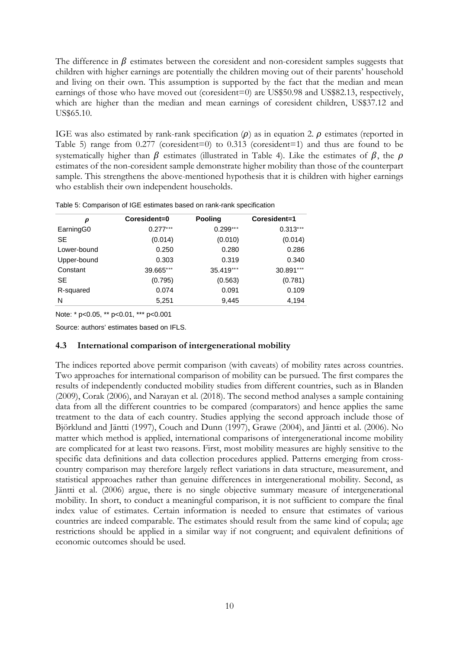The difference in  $\beta$  estimates between the coresident and non-coresident samples suggests that children with higher earnings are potentially the children moving out of their parents' household and living on their own. This assumption is supported by the fact that the median and mean earnings of those who have moved out (coresident=0) are US\$50.98 and US\$82.13, respectively, which are higher than the median and mean earnings of coresident children, US\$37.12 and US\$65.10.

IGE was also estimated by rank-rank specification  $(\rho)$  as in equation 2.  $\rho$  estimates (reported in Table 5) range from 0.277 (coresident=0) to 0.313 (coresident=1) and thus are found to be systematically higher than  $\beta$  estimates (illustrated in Table 4). Like the estimates of  $\beta$ , the  $\rho$ estimates of the non-coresident sample demonstrate higher mobility than those of the counterpart sample. This strengthens the above-mentioned hypothesis that it is children with higher earnings who establish their own independent households.

| $\boldsymbol{\rho}$ | Coresident=0 | <b>Pooling</b> | Coresident=1 |
|---------------------|--------------|----------------|--------------|
| EarningG0           | $0.277***$   | $0.299***$     | $0.313***$   |
| <b>SE</b>           | (0.014)      | (0.010)        | (0.014)      |
| Lower-bound         | 0.250        | 0.280          | 0.286        |
| Upper-bound         | 0.303        | 0.319          | 0.340        |
| Constant            | 39.665***    | 35.419***      | 30.891***    |
| <b>SE</b>           | (0.795)      | (0.563)        | (0.781)      |
| R-squared           | 0.074        | 0.091          | 0.109        |
| N                   | 5,251        | 9,445          | 4,194        |

Table 5: Comparison of IGE estimates based on rank-rank specification

Note: \* p<0.05, \*\* p<0.01, \*\*\* p<0.001

Source: authors' estimates based on IFLS.

#### **4.3 International comparison of intergenerational mobility**

The indices reported above permit comparison (with caveats) of mobility rates across countries. Two approaches for international comparison of mobility can be pursued. The first compares the results of independently conducted mobility studies from different countries, such as in Blanden (2009), Corak (2006), and Narayan et al. (2018). The second method analyses a sample containing data from all the different countries to be compared (comparators) and hence applies the same treatment to the data of each country. Studies applying the second approach include those of Björklund and Jäntti (1997), Couch and Dunn (1997), Grawe (2004), and Jäntti et al. (2006). No matter which method is applied, international comparisons of intergenerational income mobility are complicated for at least two reasons. First, most mobility measures are highly sensitive to the specific data definitions and data collection procedures applied. Patterns emerging from crosscountry comparison may therefore largely reflect variations in data structure, measurement, and statistical approaches rather than genuine differences in intergenerational mobility. Second, as Jäntti et al. (2006) argue, there is no single objective summary measure of intergenerational mobility. In short, to conduct a meaningful comparison, it is not sufficient to compare the final index value of estimates. Certain information is needed to ensure that estimates of various countries are indeed comparable. The estimates should result from the same kind of copula; age restrictions should be applied in a similar way if not congruent; and equivalent definitions of economic outcomes should be used.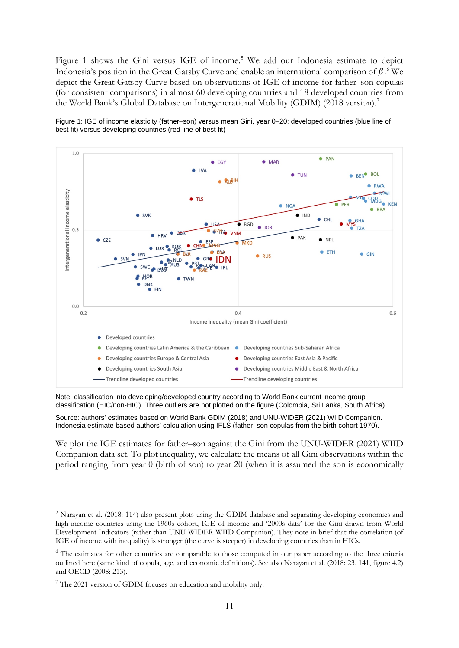Figure 1 shows the Gini versus IGE of income.<sup>[5](#page-12-0)</sup> We add our Indonesia estimate to depict Indonesia's position in the Great Gatsby Curve and enable an international comparison of  $\beta$ . We depict the Great Gatsby Curve based on observations of IGE of income for father–son copulas (for consistent comparisons) in almost 60 developing countries and 18 developed countries from the World Bank's Global Database on Intergenerational Mobility (GDIM) (2018 version).[7](#page-12-2)

Figure 1: IGE of income elasticity (father–son) versus mean Gini, year 0–20: developed countries (blue line of best fit) versus developing countries (red line of best fit)



Note: classification into developing/developed country according to World Bank current income group classification (HIC/non-HIC). Three outliers are not plotted on the figure (Colombia, Sri Lanka, South Africa).

Source: authors' estimates based on World Bank GDIM (2018) and UNU-WIDER (2021) WIID Companion. Indonesia estimate based authors' calculation using IFLS (father–son copulas from the birth cohort 1970).

We plot the IGE estimates for father–son against the Gini from the UNU-WIDER (2021) WIID Companion data set. To plot inequality, we calculate the means of all Gini observations within the period ranging from year 0 (birth of son) to year 20 (when it is assumed the son is economically

<span id="page-12-0"></span><sup>&</sup>lt;sup>5</sup> Narayan et al. (2018: 114) also present plots using the GDIM database and separating developing economies and high-income countries using the 1960s cohort, IGE of income and '2000s data' for the Gini drawn from World Development Indicators (rather than UNU-WIDER WIID Companion). They note in brief that the correlation (of IGE of income with inequality) is stronger (the curve is steeper) in developing countries than in HICs.

<span id="page-12-1"></span><sup>&</sup>lt;sup>6</sup> The estimates for other countries are comparable to those computed in our paper according to the three criteria outlined here (same kind of copula, age, and economic definitions). See also Narayan et al. (2018: 23, 141, figure 4.2) and OECD (2008: 213).

<span id="page-12-2"></span> $7$  The 2021 version of GDIM focuses on education and mobility only.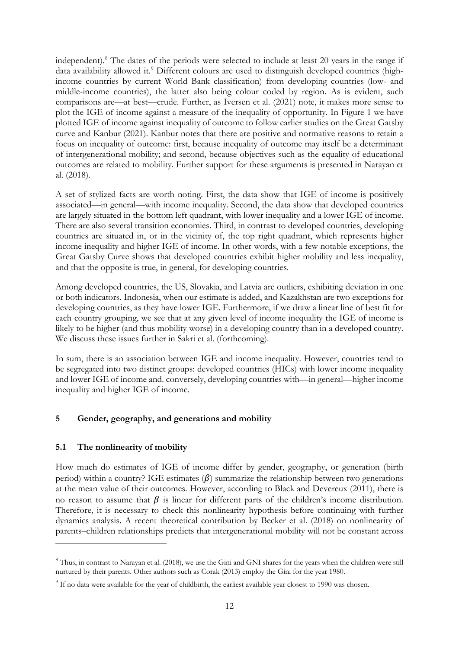independent).[8](#page-13-0) The dates of the periods were selected to include at least 20 years in the range if data availability allowed it.<sup>[9](#page-13-1)</sup> Different colours are used to distinguish developed countries (highincome countries by current World Bank classification) from developing countries (low- and middle-income countries), the latter also being colour coded by region. As is evident, such comparisons are—at best—crude. Further, as Iversen et al. (2021) note, it makes more sense to plot the IGE of income against a measure of the inequality of opportunity. In Figure 1 we have plotted IGE of income against inequality of outcome to follow earlier studies on the Great Gatsby curve and Kanbur (2021). Kanbur notes that there are positive and normative reasons to retain a focus on inequality of outcome: first, because inequality of outcome may itself be a determinant of intergenerational mobility; and second, because objectives such as the equality of educational outcomes are related to mobility. Further support for these arguments is presented in Narayan et al. (2018).

A set of stylized facts are worth noting. First, the data show that IGE of income is positively associated—in general—with income inequality. Second, the data show that developed countries are largely situated in the bottom left quadrant, with lower inequality and a lower IGE of income. There are also several transition economies. Third, in contrast to developed countries, developing countries are situated in, or in the vicinity of, the top right quadrant, which represents higher income inequality and higher IGE of income. In other words, with a few notable exceptions, the Great Gatsby Curve shows that developed countries exhibit higher mobility and less inequality, and that the opposite is true, in general, for developing countries.

Among developed countries, the US, Slovakia, and Latvia are outliers, exhibiting deviation in one or both indicators. Indonesia, when our estimate is added, and Kazakhstan are two exceptions for developing countries, as they have lower IGE. Furthermore, if we draw a linear line of best fit for each country grouping, we see that at any given level of income inequality the IGE of income is likely to be higher (and thus mobility worse) in a developing country than in a developed country. We discuss these issues further in Sakri et al. (forthcoming).

In sum, there is an association between IGE and income inequality. However, countries tend to be segregated into two distinct groups: developed countries (HICs) with lower income inequality and lower IGE of income and. conversely, developing countries with—in general—higher income inequality and higher IGE of income.

# **5 Gender, geography, and generations and mobility**

# **5.1 The nonlinearity of mobility**

How much do estimates of IGE of income differ by gender, geography, or generation (birth period) within a country? IGE estimates  $(\beta)$  summarize the relationship between two generations at the mean value of their outcomes. However, according to Black and Devereux (2011), there is no reason to assume that  $\beta$  is linear for different parts of the children's income distribution. Therefore, it is necessary to check this nonlinearity hypothesis before continuing with further dynamics analysis. A recent theoretical contribution by Becker et al. (2018) on nonlinearity of parents–children relationships predicts that intergenerational mobility will not be constant across

<span id="page-13-0"></span><sup>&</sup>lt;sup>8</sup> Thus, in contrast to Narayan et al. (2018), we use the Gini and GNI shares for the years when the children were still nurtured by their parents. Other authors such as Corak (2013) employ the Gini for the year 1980.

<span id="page-13-1"></span><sup>&</sup>lt;sup>9</sup> If no data were available for the year of childbirth, the earliest available year closest to 1990 was chosen.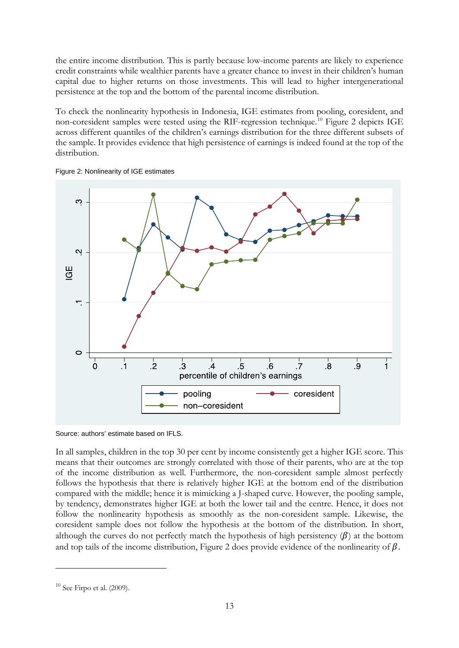the entire income distribution. This is partly because low-income parents are likely to experience credit constraints while wealthier parents have a greater chance to invest in their children's human capital due to higher returns on those investments. This will lead to higher intergenerational persistence at the top and the bottom of the parental income distribution.

To check the nonlinearity hypothesis in Indonesia, IGE estimates from pooling, coresident, and non-coresident samples were tested using the RIF-regression technique.[10](#page-14-0) Figure 2 depicts IGE across different quantiles of the children's earnings distribution for the three different subsets of the sample. It provides evidence that high persistence of earnings is indeed found at the top of the distribution.





In all samples, children in the top 30 per cent by income consistently get a higher IGE score. This means that their outcomes are strongly correlated with those of their parents, who are at the top of the income distribution as well. Furthermore, the non-coresident sample almost perfectly follows the hypothesis that there is relatively higher IGE at the bottom end of the distribution compared with the middle; hence it is mimicking a J-shaped curve. However, the pooling sample, by tendency, demonstrates higher IGE at both the lower tail and the centre. Hence, it does not follow the nonlinearity hypothesis as smoothly as the non-coresident sample. Likewise, the coresident sample does not follow the hypothesis at the bottom of the distribution. In short, although the curves do not perfectly match the hypothesis of high persistency  $(\beta)$  at the bottom and top tails of the income distribution, Figure 2 does provide evidence of the nonlinearity of  $\beta$ .

Source: authors' estimate based on IFLS.

<span id="page-14-0"></span> $10$  See Firpo et al. (2009).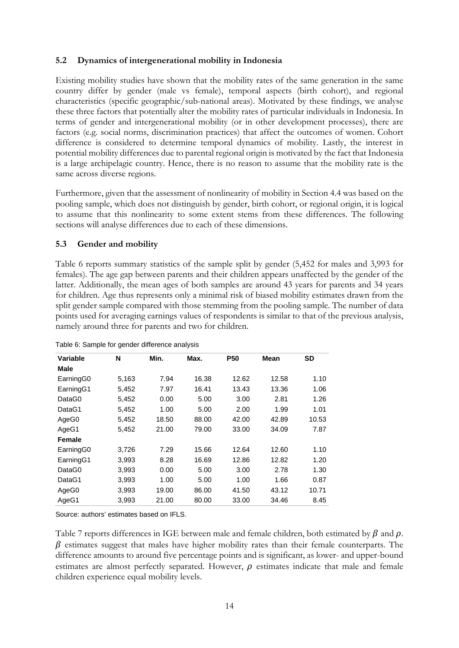# **5.2 Dynamics of intergenerational mobility in Indonesia**

Existing mobility studies have shown that the mobility rates of the same generation in the same country differ by gender (male vs female), temporal aspects (birth cohort), and regional characteristics (specific geographic/sub-national areas). Motivated by these findings, we analyse these three factors that potentially alter the mobility rates of particular individuals in Indonesia. In terms of gender and intergenerational mobility (or in other development processes), there are factors (e.g. social norms, discrimination practices) that affect the outcomes of women. Cohort difference is considered to determine temporal dynamics of mobility. Lastly, the interest in potential mobility differences due to parental regional origin is motivated by the fact that Indonesia is a large archipelagic country. Hence, there is no reason to assume that the mobility rate is the same across diverse regions.

Furthermore, given that the assessment of nonlinearity of mobility in Section 4.4 was based on the pooling sample, which does not distinguish by gender, birth cohort, or regional origin, it is logical to assume that this nonlinearity to some extent stems from these differences. The following sections will analyse differences due to each of these dimensions.

# **5.3 Gender and mobility**

Table 6 reports summary statistics of the sample split by gender (5,452 for males and 3,993 for females). The age gap between parents and their children appears unaffected by the gender of the latter. Additionally, the mean ages of both samples are around 43 years for parents and 34 years for children. Age thus represents only a minimal risk of biased mobility estimates drawn from the split gender sample compared with those stemming from the pooling sample. The number of data points used for averaging earnings values of respondents is similar to that of the previous analysis, namely around three for parents and two for children.

| ◡                     |       |       |       |            |       |           |
|-----------------------|-------|-------|-------|------------|-------|-----------|
| <b>Variable</b>       | N     | Min.  | Max.  | <b>P50</b> | Mean  | <b>SD</b> |
| Male                  |       |       |       |            |       |           |
| Earning <sub>G0</sub> | 5,163 | 7.94  | 16.38 | 12.62      | 12.58 | 1.10      |
| EarningG1             | 5,452 | 7.97  | 16.41 | 13.43      | 13.36 | 1.06      |
| DataG0                | 5,452 | 0.00  | 5.00  | 3.00       | 2.81  | 1.26      |
| DataG1                | 5,452 | 1.00  | 5.00  | 2.00       | 1.99  | 1.01      |
| AgeG0                 | 5,452 | 18.50 | 88.00 | 42.00      | 42.89 | 10.53     |
| AgeG1                 | 5,452 | 21.00 | 79.00 | 33.00      | 34.09 | 7.87      |
| Female                |       |       |       |            |       |           |
| Earning <sub>G0</sub> | 3,726 | 7.29  | 15.66 | 12.64      | 12.60 | 1.10      |
| EarningG1             | 3,993 | 8.28  | 16.69 | 12.86      | 12.82 | 1.20      |
| DataG0                | 3,993 | 0.00  | 5.00  | 3.00       | 2.78  | 1.30      |
| DataG1                | 3,993 | 1.00  | 5.00  | 1.00       | 1.66  | 0.87      |
| AgeG0                 | 3,993 | 19.00 | 86.00 | 41.50      | 43.12 | 10.71     |
| AgeG1                 | 3,993 | 21.00 | 80.00 | 33.00      | 34.46 | 8.45      |

Table 6: Sample for gender difference analysis

Source: authors' estimates based on IFLS.

Table 7 reports differences in IGE between male and female children, both estimated by  $\beta$  and  $\rho$ .  $\beta$  estimates suggest that males have higher mobility rates than their female counterparts. The difference amounts to around five percentage points and is significant, as lower- and upper-bound estimates are almost perfectly separated. However,  $\rho$  estimates indicate that male and female children experience equal mobility levels.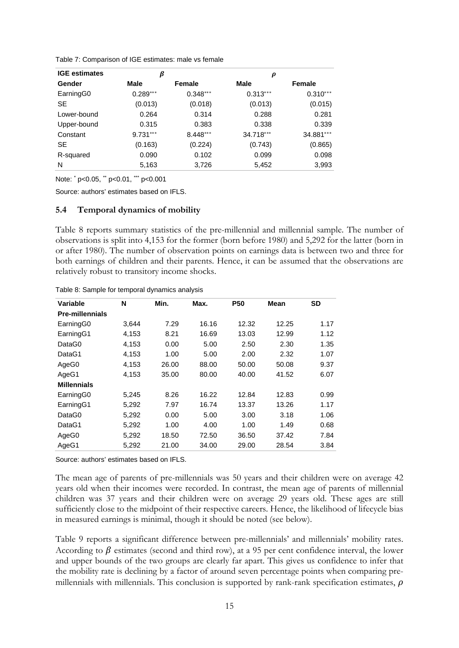| Table 7: Comparison of IGE estimates: male vs female |  |
|------------------------------------------------------|--|
|------------------------------------------------------|--|

| <b>IGE</b> estimates | β          |            | $\boldsymbol{\rho}$ |            |
|----------------------|------------|------------|---------------------|------------|
| Gender               | Male       | Female     | <b>Male</b>         | Female     |
| EarningG0            | $0.289***$ | $0.348***$ | $0.313***$          | $0.310***$ |
| <b>SE</b>            | (0.013)    | (0.018)    | (0.013)             | (0.015)    |
| Lower-bound          | 0.264      | 0.314      | 0.288               | 0.281      |
| Upper-bound          | 0.315      | 0.383      | 0.338               | 0.339      |
| Constant             | $9.731***$ | $8.448***$ | 34.718***           | 34.881***  |
| <b>SE</b>            | (0.163)    | (0.224)    | (0.743)             | (0.865)    |
| R-squared            | 0.090      | 0.102      | 0.099               | 0.098      |
| N                    | 5,163      | 3,726      | 5,452               | 3,993      |

Note: \* p<0.05, \*\* p<0.01, \*\*\* p<0.001

Source: authors' estimates based on IFLS.

### **5.4 Temporal dynamics of mobility**

Table 8 reports summary statistics of the pre-millennial and millennial sample. The number of observations is split into 4,153 for the former (born before 1980) and 5,292 for the latter (born in or after 1980). The number of observation points on earnings data is between two and three for both earnings of children and their parents. Hence, it can be assumed that the observations are relatively robust to transitory income shocks.

| Variable               | N     | Min.  | Max.  | <b>P50</b> | <b>Mean</b> | <b>SD</b> |
|------------------------|-------|-------|-------|------------|-------------|-----------|
| <b>Pre-millennials</b> |       |       |       |            |             |           |
| EarningG0              | 3,644 | 7.29  | 16.16 | 12.32      | 12.25       | 1.17      |
| EarningG1              | 4,153 | 8.21  | 16.69 | 13.03      | 12.99       | 1.12      |
| DataG0                 | 4,153 | 0.00  | 5.00  | 2.50       | 2.30        | 1.35      |
| DataG1                 | 4,153 | 1.00  | 5.00  | 2.00       | 2.32        | 1.07      |
| AgeG0                  | 4,153 | 26.00 | 88.00 | 50.00      | 50.08       | 9.37      |
| AgeG1                  | 4,153 | 35.00 | 80.00 | 40.00      | 41.52       | 6.07      |
| <b>Millennials</b>     |       |       |       |            |             |           |
| EarningG0              | 5,245 | 8.26  | 16.22 | 12.84      | 12.83       | 0.99      |
| EarningG1              | 5,292 | 7.97  | 16.74 | 13.37      | 13.26       | 1.17      |
| DataG0                 | 5,292 | 0.00  | 5.00  | 3.00       | 3.18        | 1.06      |
| DataG1                 | 5,292 | 1.00  | 4.00  | 1.00       | 1.49        | 0.68      |
| AgeG0                  | 5,292 | 18.50 | 72.50 | 36.50      | 37.42       | 7.84      |
| AgeG1                  | 5.292 | 21.00 | 34.00 | 29.00      | 28.54       | 3.84      |

Table 8: Sample for temporal dynamics analysis

Source: authors' estimates based on IFLS.

The mean age of parents of pre-millennials was 50 years and their children were on average 42 years old when their incomes were recorded. In contrast, the mean age of parents of millennial children was 37 years and their children were on average 29 years old. These ages are still sufficiently close to the midpoint of their respective careers. Hence, the likelihood of lifecycle bias in measured earnings is minimal, though it should be noted (see below).

Table 9 reports a significant difference between pre-millennials' and millennials' mobility rates. According to  $\beta$  estimates (second and third row), at a 95 per cent confidence interval, the lower and upper bounds of the two groups are clearly far apart. This gives us confidence to infer that the mobility rate is declining by a factor of around seven percentage points when comparing premillennials with millennials. This conclusion is supported by rank-rank specification estimates,  $\rho$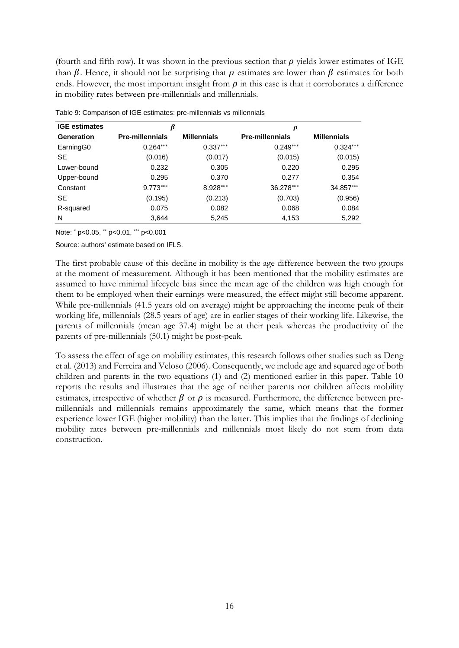(fourth and fifth row). It was shown in the previous section that  $\rho$  yields lower estimates of IGE than  $\beta$ . Hence, it should not be surprising that  $\rho$  estimates are lower than  $\beta$  estimates for both ends. However, the most important insight from  $\rho$  in this case is that it corroborates a difference in mobility rates between pre-millennials and millennials.

| <b>IGE estimates</b><br>β |                        | $\boldsymbol{\rho}$ |                        |                    |
|---------------------------|------------------------|---------------------|------------------------|--------------------|
| Generation                | <b>Pre-millennials</b> | <b>Millennials</b>  | <b>Pre-millennials</b> | <b>Millennials</b> |
| Earning <sub>G0</sub>     | $0.264***$             | $0.337***$          | $0.249***$             | $0.324***$         |
| <b>SE</b>                 | (0.016)                | (0.017)             | (0.015)                | (0.015)            |
| Lower-bound               | 0.232                  | 0.305               | 0.220                  | 0.295              |
| Upper-bound               | 0.295                  | 0.370               | 0.277                  | 0.354              |
| Constant                  | $9.773***$             | $8.928***$          | 36.278***              | 34.857***          |
| <b>SE</b>                 | (0.195)                | (0.213)             | (0.703)                | (0.956)            |
| R-squared                 | 0.075                  | 0.082               | 0.068                  | 0.084              |
| N                         | 3,644                  | 5,245               | 4,153                  | 5,292              |

Table 9: Comparison of IGE estimates: pre-millennials vs millennials

Note: \* p<0.05, \*\* p<0.01, \*\*\* p<0.001

Source: authors' estimate based on IFLS.

The first probable cause of this decline in mobility is the age difference between the two groups at the moment of measurement. Although it has been mentioned that the mobility estimates are assumed to have minimal lifecycle bias since the mean age of the children was high enough for them to be employed when their earnings were measured, the effect might still become apparent. While pre-millennials (41.5 years old on average) might be approaching the income peak of their working life, millennials (28.5 years of age) are in earlier stages of their working life. Likewise, the parents of millennials (mean age 37.4) might be at their peak whereas the productivity of the parents of pre-millennials (50.1) might be post-peak.

To assess the effect of age on mobility estimates, this research follows other studies such as Deng et al. (2013) and Ferreira and Veloso (2006). Consequently, we include age and squared age of both children and parents in the two equations (1) and (2) mentioned earlier in this paper. Table 10 reports the results and illustrates that the age of neither parents nor children affects mobility estimates, irrespective of whether  $\beta$  or  $\rho$  is measured. Furthermore, the difference between premillennials and millennials remains approximately the same, which means that the former experience lower IGE (higher mobility) than the latter. This implies that the findings of declining mobility rates between pre-millennials and millennials most likely do not stem from data construction.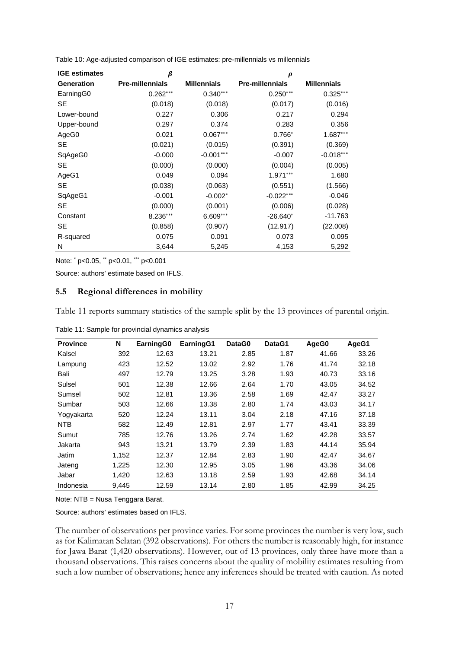| <b>IGE estimates</b> | $\beta$                |                    | $\boldsymbol{\rho}$    |                    |
|----------------------|------------------------|--------------------|------------------------|--------------------|
| <b>Generation</b>    | <b>Pre-millennials</b> | <b>Millennials</b> | <b>Pre-millennials</b> | <b>Millennials</b> |
| EarningG0            | $0.262***$             | $0.340***$         | $0.250***$             | $0.325***$         |
| <b>SE</b>            | (0.018)                | (0.018)            | (0.017)                | (0.016)            |
| Lower-bound          | 0.227                  | 0.306              | 0.217                  | 0.294              |
| Upper-bound          | 0.297                  | 0.374              | 0.283                  | 0.356              |
| AgeG0                | 0.021                  | $0.067***$         | $0.766*$               | $1.687***$         |
| <b>SE</b>            | (0.021)                | (0.015)            | (0.391)                | (0.369)            |
| SqAgeG0              | $-0.000$               | $-0.001***$        | $-0.007$               | $-0.018***$        |
| <b>SE</b>            | (0.000)                | (0.000)            | (0.004)                | (0.005)            |
| AgeG1                | 0.049                  | 0.094              | $1.971***$             | 1.680              |
| <b>SE</b>            | (0.038)                | (0.063)            | (0.551)                | (1.566)            |
| SqAgeG1              | $-0.001$               | $-0.002*$          | $-0.022***$            | $-0.046$           |
| <b>SE</b>            | (0.000)                | (0.001)            | (0.006)                | (0.028)            |
| Constant             | 8.236***               | $6.609***$         | $-26.640*$             | $-11.763$          |
| <b>SE</b>            | (0.858)                | (0.907)            | (12.917)               | (22.008)           |
| R-squared            | 0.075                  | 0.091              | 0.073                  | 0.095              |
| N                    | 3,644                  | 5,245              | 4,153                  | 5,292              |

Table 10: Age-adjusted comparison of IGE estimates: pre-millennials vs millennials

Note: \* p<0.05, \*\* p<0.01, \*\*\* p<0.001

Source: authors' estimate based on IFLS.

#### **5.5 Regional differences in mobility**

Table 11 reports summary statistics of the sample split by the 13 provinces of parental origin.

| <b>Province</b> | N     | EarningG0 | EarningG1 | DataG0 | DataG1 | AgeG0 | AgeG1 |
|-----------------|-------|-----------|-----------|--------|--------|-------|-------|
| Kalsel          | 392   | 12.63     | 13.21     | 2.85   | 1.87   | 41.66 | 33.26 |
| Lampung         | 423   | 12.52     | 13.02     | 2.92   | 1.76   | 41.74 | 32.18 |
| Bali            | 497   | 12.79     | 13.25     | 3.28   | 1.93   | 40.73 | 33.16 |
| Sulsel          | 501   | 12.38     | 12.66     | 2.64   | 1.70   | 43.05 | 34.52 |
| Sumsel          | 502   | 12.81     | 13.36     | 2.58   | 1.69   | 42.47 | 33.27 |
| Sumbar          | 503   | 12.66     | 13.38     | 2.80   | 1.74   | 43.03 | 34.17 |
| Yogyakarta      | 520   | 12.24     | 13.11     | 3.04   | 2.18   | 47.16 | 37.18 |
| <b>NTB</b>      | 582   | 12.49     | 12.81     | 2.97   | 1.77   | 43.41 | 33.39 |
| Sumut           | 785   | 12.76     | 13.26     | 2.74   | 1.62   | 42.28 | 33.57 |
| Jakarta         | 943   | 13.21     | 13.79     | 2.39   | 1.83   | 44.14 | 35.94 |
| Jatim           | 1,152 | 12.37     | 12.84     | 2.83   | 1.90   | 42.47 | 34.67 |
| Jateng          | 1.225 | 12.30     | 12.95     | 3.05   | 1.96   | 43.36 | 34.06 |
| Jabar           | 1,420 | 12.63     | 13.18     | 2.59   | 1.93   | 42.68 | 34.14 |
| Indonesia       | 9.445 | 12.59     | 13.14     | 2.80   | 1.85   | 42.99 | 34.25 |

Table 11: Sample for provincial dynamics analysis

Note: NTB = Nusa Tenggara Barat.

Source: authors' estimates based on IFLS.

The number of observations per province varies. For some provinces the number is very low, such as for Kalimatan Selatan (392 observations). For others the number is reasonably high, for instance for Jawa Barat (1,420 observations). However, out of 13 provinces, only three have more than a thousand observations. This raises concerns about the quality of mobility estimates resulting from such a low number of observations; hence any inferences should be treated with caution. As noted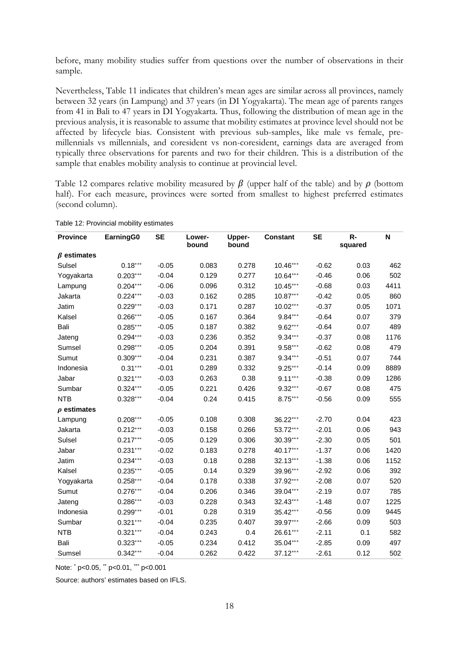before, many mobility studies suffer from questions over the number of observations in their sample.

Nevertheless, Table 11 indicates that children's mean ages are similar across all provinces, namely between 32 years (in Lampung) and 37 years (in DI Yogyakarta). The mean age of parents ranges from 41 in Bali to 47 years in DI Yogyakarta. Thus, following the distribution of mean age in the previous analysis, it is reasonable to assume that mobility estimates at province level should not be affected by lifecycle bias. Consistent with previous sub-samples, like male vs female, premillennials vs millennials, and coresident vs non-coresident, earnings data are averaged from typically three observations for parents and two for their children. This is a distribution of the sample that enables mobility analysis to continue at provincial level.

Table 12 compares relative mobility measured by  $\beta$  (upper half of the table) and by  $\rho$  (bottom half). For each measure, provinces were sorted from smallest to highest preferred estimates (second column).

| <b>Province</b>   | EarningG0  | <b>SE</b> | Lower-<br>bound | <b>Upper-</b><br>bound | <b>Constant</b> | <b>SE</b> | $R -$<br>squared | N    |
|-------------------|------------|-----------|-----------------|------------------------|-----------------|-----------|------------------|------|
| $\beta$ estimates |            |           |                 |                        |                 |           |                  |      |
| Sulsel            | $0.18***$  | $-0.05$   | 0.083           | 0.278                  | $10.46***$      | $-0.62$   | 0.03             | 462  |
| Yogyakarta        | $0.203***$ | $-0.04$   | 0.129           | 0.277                  | $10.64***$      | $-0.46$   | 0.06             | 502  |
| Lampung           | $0.204***$ | $-0.06$   | 0.096           | 0.312                  | $10.45***$      | $-0.68$   | 0.03             | 4411 |
| Jakarta           | $0.224***$ | $-0.03$   | 0.162           | 0.285                  | $10.87***$      | $-0.42$   | 0.05             | 860  |
| Jatim             | $0.229***$ | $-0.03$   | 0.171           | 0.287                  | 10.02***        | $-0.37$   | 0.05             | 1071 |
| Kalsel            | $0.266***$ | $-0.05$   | 0.167           | 0.364                  | $9.84***$       | $-0.64$   | 0.07             | 379  |
| Bali              | $0.285***$ | $-0.05$   | 0.187           | 0.382                  | $9.62***$       | $-0.64$   | 0.07             | 489  |
| Jateng            | $0.294***$ | $-0.03$   | 0.236           | 0.352                  | $9.34***$       | $-0.37$   | 0.08             | 1176 |
| Sumsel            | $0.298***$ | $-0.05$   | 0.204           | 0.391                  | $9.58***$       | $-0.62$   | 0.08             | 479  |
| Sumut             | $0.309***$ | $-0.04$   | 0.231           | 0.387                  | $9.34***$       | $-0.51$   | 0.07             | 744  |
| Indonesia         | $0.31***$  | $-0.01$   | 0.289           | 0.332                  | $9.25***$       | $-0.14$   | 0.09             | 8889 |
| Jabar             | $0.321***$ | $-0.03$   | 0.263           | 0.38                   | $9.11***$       | $-0.38$   | 0.09             | 1286 |
| Sumbar            | $0.324***$ | $-0.05$   | 0.221           | 0.426                  | $9.32***$       | $-0.67$   | 0.08             | 475  |
| <b>NTB</b>        | $0.328***$ | $-0.04$   | 0.24            | 0.415                  | $8.75***$       | $-0.56$   | 0.09             | 555  |
| $\rho$ estimates  |            |           |                 |                        |                 |           |                  |      |
| Lampung           | $0.208***$ | $-0.05$   | 0.108           | 0.308                  | 36.22***        | $-2.70$   | 0.04             | 423  |
| Jakarta           | $0.212***$ | $-0.03$   | 0.158           | 0.266                  | 53.72***        | $-2.01$   | 0.06             | 943  |
| Sulsel            | $0.217***$ | $-0.05$   | 0.129           | 0.306                  | 30.39***        | $-2.30$   | 0.05             | 501  |
| Jabar             | $0.231***$ | $-0.02$   | 0.183           | 0.278                  | 40.17***        | $-1.37$   | 0.06             | 1420 |
| Jatim             | $0.234***$ | $-0.03$   | 0.18            | 0.288                  | 32.13***        | $-1.38$   | 0.06             | 1152 |
| Kalsel            | $0.235***$ | $-0.05$   | 0.14            | 0.329                  | 39.96***        | $-2.92$   | 0.06             | 392  |
| Yogyakarta        | $0.258***$ | $-0.04$   | 0.178           | 0.338                  | 37.92***        | $-2.08$   | 0.07             | 520  |
| Sumut             | $0.276***$ | $-0.04$   | 0.206           | 0.346                  | 39.04***        | $-2.19$   | 0.07             | 785  |
| Jateng            | $0.286***$ | $-0.03$   | 0.228           | 0.343                  | 32.43***        | $-1.48$   | 0.07             | 1225 |
| Indonesia         | $0.299***$ | $-0.01$   | 0.28            | 0.319                  | $35.42***$      | $-0.56$   | 0.09             | 9445 |
| Sumbar            | $0.321***$ | $-0.04$   | 0.235           | 0.407                  | 39.97***        | $-2.66$   | 0.09             | 503  |
| <b>NTB</b>        | $0.321***$ | $-0.04$   | 0.243           | 0.4                    | 26.61***        | $-2.11$   | 0.1              | 582  |
| Bali              | $0.323***$ | $-0.05$   | 0.234           | 0.412                  | 35.04***        | $-2.85$   | 0.09             | 497  |
| Sumsel            | $0.342***$ | $-0.04$   | 0.262           | 0.422                  | 37.12***        | $-2.61$   | 0.12             | 502  |

Table 12: Provincial mobility estimates

Note: \* p<0.05, \*\* p<0.01, \*\*\* p<0.001

Source: authors' estimates based on IFLS.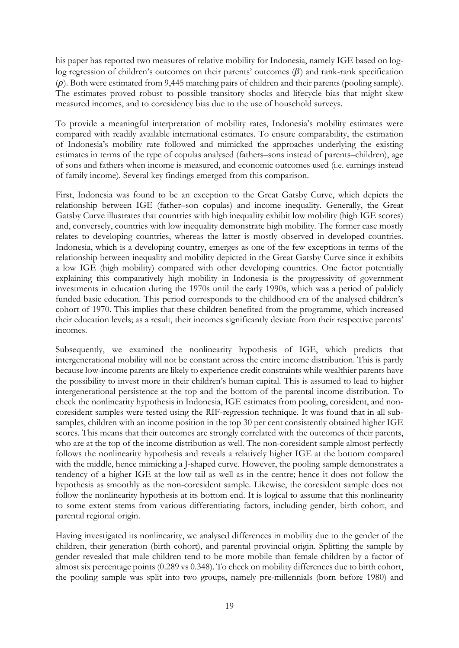his paper has reported two measures of relative mobility for Indonesia, namely IGE based on loglog regression of children's outcomes on their parents' outcomes  $(\beta)$  and rank-rank specification  $(\rho)$ . Both were estimated from 9,445 matching pairs of children and their parents (pooling sample). The estimates proved robust to possible transitory shocks and lifecycle bias that might skew measured incomes, and to coresidency bias due to the use of household surveys.

To provide a meaningful interpretation of mobility rates, Indonesia's mobility estimates were compared with readily available international estimates. To ensure comparability, the estimation of Indonesia's mobility rate followed and mimicked the approaches underlying the existing estimates in terms of the type of copulas analysed (fathers–sons instead of parents–children), age of sons and fathers when income is measured, and economic outcomes used (i.e. earnings instead of family income). Several key findings emerged from this comparison.

First, Indonesia was found to be an exception to the Great Gatsby Curve, which depicts the relationship between IGE (father–son copulas) and income inequality. Generally, the Great Gatsby Curve illustrates that countries with high inequality exhibit low mobility (high IGE scores) and, conversely, countries with low inequality demonstrate high mobility. The former case mostly relates to developing countries, whereas the latter is mostly observed in developed countries. Indonesia, which is a developing country, emerges as one of the few exceptions in terms of the relationship between inequality and mobility depicted in the Great Gatsby Curve since it exhibits a low IGE (high mobility) compared with other developing countries. One factor potentially explaining this comparatively high mobility in Indonesia is the progressivity of government investments in education during the 1970s until the early 1990s, which was a period of publicly funded basic education. This period corresponds to the childhood era of the analysed children's cohort of 1970. This implies that these children benefited from the programme, which increased their education levels; as a result, their incomes significantly deviate from their respective parents' incomes.

Subsequently, we examined the nonlinearity hypothesis of IGE, which predicts that intergenerational mobility will not be constant across the entire income distribution. This is partly because low-income parents are likely to experience credit constraints while wealthier parents have the possibility to invest more in their children's human capital. This is assumed to lead to higher intergenerational persistence at the top and the bottom of the parental income distribution. To check the nonlinearity hypothesis in Indonesia, IGE estimates from pooling, coresident, and noncoresident samples were tested using the RIF-regression technique. It was found that in all subsamples, children with an income position in the top 30 per cent consistently obtained higher IGE scores. This means that their outcomes are strongly correlated with the outcomes of their parents, who are at the top of the income distribution as well. The non-coresident sample almost perfectly follows the nonlinearity hypothesis and reveals a relatively higher IGE at the bottom compared with the middle, hence mimicking a J-shaped curve. However, the pooling sample demonstrates a tendency of a higher IGE at the low tail as well as in the centre; hence it does not follow the hypothesis as smoothly as the non-coresident sample. Likewise, the coresident sample does not follow the nonlinearity hypothesis at its bottom end. It is logical to assume that this nonlinearity to some extent stems from various differentiating factors, including gender, birth cohort, and parental regional origin.

Having investigated its nonlinearity, we analysed differences in mobility due to the gender of the children, their generation (birth cohort), and parental provincial origin. Splitting the sample by gender revealed that male children tend to be more mobile than female children by a factor of almost six percentage points (0.289 vs 0.348). To check on mobility differences due to birth cohort, the pooling sample was split into two groups, namely pre-millennials (born before 1980) and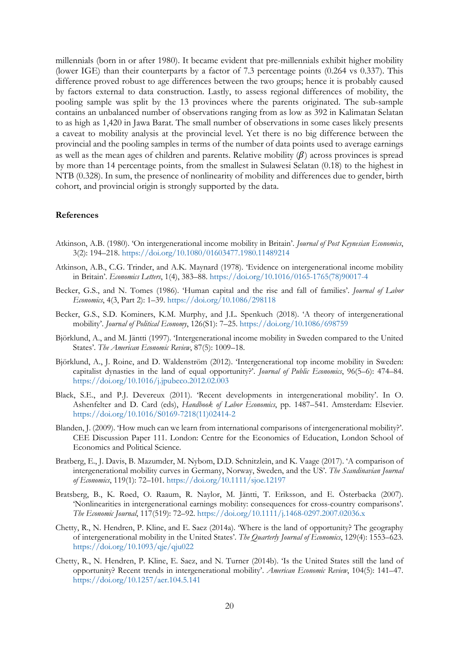millennials (born in or after 1980). It became evident that pre-millennials exhibit higher mobility (lower IGE) than their counterparts by a factor of 7.3 percentage points (0.264 vs 0.337). This difference proved robust to age differences between the two groups; hence it is probably caused by factors external to data construction. Lastly, to assess regional differences of mobility, the pooling sample was split by the 13 provinces where the parents originated. The sub-sample contains an unbalanced number of observations ranging from as low as 392 in Kalimatan Selatan to as high as 1,420 in Jawa Barat. The small number of observations in some cases likely presents a caveat to mobility analysis at the provincial level. Yet there is no big difference between the provincial and the pooling samples in terms of the number of data points used to average earnings as well as the mean ages of children and parents. Relative mobility  $(\beta)$  across provinces is spread by more than 14 percentage points, from the smallest in Sulawesi Selatan (0.18) to the highest in NTB (0.328). In sum, the presence of nonlinearity of mobility and differences due to gender, birth cohort, and provincial origin is strongly supported by the data.

#### **References**

- Atkinson, A.B. (1980). 'On intergenerational income mobility in Britain'. *Journal of Post Keynesian Economics*, 3(2): 194–218. <https://doi.org/10.1080/01603477.1980.11489214>
- Atkinson, A.B., C.G. Trinder, and A.K. Maynard (1978). 'Evidence on intergenerational income mobility in Britain'. *Economics Letters*, 1(4), 383–88. [https://doi.org/10.1016/0165-1765\(78\)90017-4](https://doi.org/10.1016/0165-1765(78)90017-4)
- Becker, G.S., and N. Tomes (1986). 'Human capital and the rise and fall of families'. *Journal of Labor Economics*, 4(3, Part 2): 1–39. <https://doi.org/10.1086/298118>
- Becker, G.S., S.D. Kominers, K.M. Murphy, and J.L. Spenkuch (2018). 'A theory of intergenerational mobility'. *Journal of Political Economy*, 126(S1): 7–25. <https://doi.org/10.1086/698759>
- Björklund, A., and M. Jäntti (1997). 'Intergenerational income mobility in Sweden compared to the United States'. *The American Economic Review*, 87(5): 1009–18.
- Björklund, A., J. Roine, and D. Waldenström (2012). 'Intergenerational top income mobility in Sweden: capitalist dynasties in the land of equal opportunity?'. *Journal of Public Economics*, 96(5–6): 474–84. <https://doi.org/10.1016/j.jpubeco.2012.02.003>
- Black, S.E., and P.J. Devereux (2011). 'Recent developments in intergenerational mobility'. In O. Ashenfelter and D. Card (eds), *Handbook of Labor Economics*, pp. 1487–541. Amsterdam: Elsevier. [https://doi.org/10.1016/S0169-7218\(11\)02414-2](https://doi.org/10.1016/S0169-7218(11)02414-2)
- Blanden, J. (2009). 'How much can we learn from international comparisons of intergenerational mobility?'. CEE Discussion Paper 111. London: Centre for the Economics of Education, London School of Economics and Political Science.
- Bratberg, E., J. Davis, B. Mazumder, M. Nybom, D.D. Schnitzlein, and K. Vaage (2017). 'A comparison of intergenerational mobility curves in Germany, Norway, Sweden, and the US'. *The Scandinavian Journal of Economics*, 119(1): 72–101. <https://doi.org/10.1111/sjoe.12197>
- Bratsberg, B., K. Røed, O. Raaum, R. Naylor, M. Jäntti, T. Eriksson, and E. Österbacka (2007). 'Nonlinearities in intergenerational earnings mobility: consequences for cross-country comparisons'. *The Economic Journal*, 117(519): 72–92. <https://doi.org/10.1111/j.1468-0297.2007.02036.x>
- Chetty, R., N. Hendren, P. Kline, and E. Saez (2014a). 'Where is the land of opportunity? The geography of intergenerational mobility in the United States'. *The Quarterly Journal of Economics*, 129(4): 1553–623. <https://doi.org/10.1093/qje/qju022>
- Chetty, R., N. Hendren, P. Kline, E. Saez, and N. Turner (2014b). 'Is the United States still the land of opportunity? Recent trends in intergenerational mobility'. *American Economic Review*, 104(5): 141–47. <https://doi.org/10.1257/aer.104.5.141>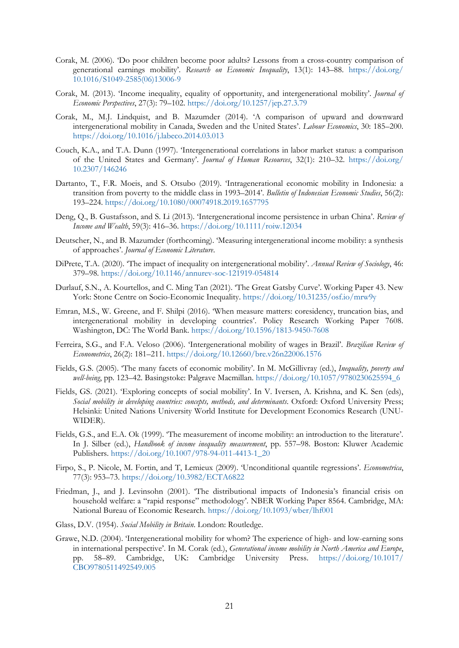- Corak, M. (2006). 'Do poor children become poor adults? Lessons from a cross-country comparison of generational earnings mobility'. *Research on Economic Inequality*, 13(1): 143–88. [https://doi.org/](https://doi.org/10.1016/S1049-2585(06)13006-9) [10.1016/S1049-2585\(06\)13006-9](https://doi.org/10.1016/S1049-2585(06)13006-9)
- Corak, M. (2013). 'Income inequality, equality of opportunity, and intergenerational mobility'. *Journal of Economic Perspectives*, 27(3): 79–102. <https://doi.org/10.1257/jep.27.3.79>
- Corak, M., M.J. Lindquist, and B. Mazumder (2014). 'A comparison of upward and downward intergenerational mobility in Canada, Sweden and the United States'. *Labour Economics*, 30: 185–200. <https://doi.org/10.1016/j.labeco.2014.03.013>
- Couch, K.A., and T.A. Dunn (1997). 'Intergenerational correlations in labor market status: a comparison of the United States and Germany'. *Journal of Human Resources*, 32(1): 210–32. [https://doi.org/](https://doi.org/10.2307/146246) [10.2307/146246](https://doi.org/10.2307/146246)
- Dartanto, T., F.R. Moeis, and S. Otsubo (2019). 'Intragenerational economic mobility in Indonesia: a transition from poverty to the middle class in 1993–2014'. *Bulletin of Indonesian Economic Studies*, 56(2): 193–224. <https://doi.org/10.1080/00074918.2019.1657795>
- Deng, Q., B. Gustafsson, and S. Li (2013). 'Intergenerational income persistence in urban China'. *Review of Income and Wealth*, 59(3): 416–36. <https://doi.org/10.1111/roiw.12034>
- Deutscher, N., and B. Mazumder (forthcoming). 'Measuring intergenerational income mobility: a synthesis of approaches'. *Journal of Economic Literature*.
- DiPrete, T.A. (2020). 'The impact of inequality on intergenerational mobility'. *Annual Review of Sociology*, 46: 379–98. <https://doi.org/10.1146/annurev-soc-121919-054814>
- Durlauf, S.N., A. Kourtellos, and C. Ming Tan (2021). 'The Great Gatsby Curve'. Working Paper 43. New York: Stone Centre on Socio-Economic Inequality. <https://doi.org/10.31235/osf.io/mrw9y>
- Emran, M.S., W. Greene, and F. Shilpi (2016). 'When measure matters: coresidency, truncation bias, and intergenerational mobility in developing countries'. Policy Research Working Paper 7608. Washington, DC: The World Bank. <https://doi.org/10.1596/1813-9450-7608>
- Ferreira, S.G., and F.A. Veloso (2006). 'Intergenerational mobility of wages in Brazil'. *Brazilian Review of Econometrics*, 26(2): 181–211. <https://doi.org/10.12660/bre.v26n22006.1576>
- Fields, G.S. (2005). 'The many facets of economic mobility'. In M. McGillivray (ed.), *Inequality, poverty and well-being*, pp. 123–42. Basingstoke: Palgrave Macmillan. [https://doi.org/10.1057/9780230625594\\_6](https://doi.org/10.1057/9780230625594_6)
- Fields, GS. (2021). 'Exploring concepts of social mobility'. In V. Iversen, A. Krishna, and K. Sen (eds), *Social mobility in developing countries: concepts, methods, and determinants*. Oxford: Oxford University Press; Helsinki: United Nations University World Institute for Development Economics Research (UNU-WIDER).
- Fields, G.S., and E.A. Ok (1999). 'The measurement of income mobility: an introduction to the literature'. In J. Silber (ed.), *Handbook of income inequality measurement*, pp. 557–98. Boston: Kluwer Academic Publishers. [https://doi.org/10.1007/978-94-011-4413-1\\_20](https://doi.org/10.1007/978-94-011-4413-1_20)
- Firpo, S., P. Nicole, M. Fortin, and T, Lemieux (2009). 'Unconditional quantile regressions'. *Econometrica*, 77(3): 953–73. <https://doi.org/10.3982/ECTA6822>
- Friedman, J., and J. Levinsohn (2001). 'The distributional impacts of Indonesia's financial crisis on household welfare: a "rapid response" methodology'. NBER Working Paper 8564. Cambridge, MA: National Bureau of Economic Research.<https://doi.org/10.1093/wber/lhf001>
- Glass, D.V. (1954). *Social Mobility in Britain*. London: Routledge.
- Grawe, N.D. (2004). 'Intergenerational mobility for whom? The experience of high- and low-earning sons in international perspective'. In M. Corak (ed.), *Generational income mobility in North America and Europe*, pp. 58–89. Cambridge, UK: Cambridge University Press. [https://doi.org/10.1017/](https://doi.org/10.1017/CBO9780511492549.005) [CBO9780511492549.005](https://doi.org/10.1017/CBO9780511492549.005)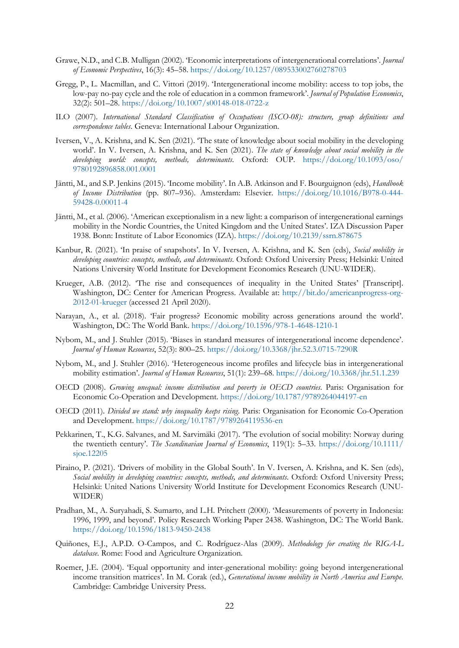- Grawe, N.D., and C.B. Mulligan (2002). 'Economic interpretations of intergenerational correlations'. *Journal of Economic Perspectives*, 16(3): 45–58. <https://doi.org/10.1257/089533002760278703>
- Gregg, P., L. Macmillan, and C. Vittori (2019). 'Intergenerational income mobility: access to top jobs, the low-pay no-pay cycle and the role of education in a common framework'. *Journal of Population Economics*, 32(2): 501–28. <https://doi.org/10.1007/s00148-018-0722-z>
- ILO (2007). *International Standard Classification of Occupations (ISCO-08): structure, group definitions and correspondence tables*. Geneva: International Labour Organization.
- Iversen, V., A. Krishna, and K. Sen (2021). 'The state of knowledge about social mobility in the developing world'. In V. Iversen, A. Krishna, and K. Sen (2021). *The state of knowledge about social mobility in the developing world: concepts, methods, determinants*. Oxford: OUP. [https://doi.org/10.1093/oso/](https://doi.org/10.1093/oso/9780192896858.001.0001) [9780192896858.001.0001](https://doi.org/10.1093/oso/9780192896858.001.0001)
- Jäntti, M., and S.P. Jenkins (2015). 'Income mobility'. In A.B. Atkinson and F. Bourguignon (eds), *Handbook of Income Distribution* (pp. 807–936). Amsterdam: Elsevier. [https://doi.org/10.1016/B978-0-444-](https://doi.org/10.1016/B978-0-444-59428-0.00011-4) [59428-0.00011-4](https://doi.org/10.1016/B978-0-444-59428-0.00011-4)
- Jäntti, M., et al. (2006). 'American exceptionalism in a new light: a comparison of intergenerational earnings mobility in the Nordic Countries, the United Kingdom and the United States'. IZA Discussion Paper 1938. Bonn: Institute of Labor Economics (IZA). <https://doi.org/10.2139/ssrn.878675>
- Kanbur, R. (2021). 'In praise of snapshots'. In V. Iversen, A. Krishna, and K. Sen (eds), *Social mobility in developing countries: concepts, methods, and determinants*. Oxford: Oxford University Press; Helsinki: United Nations University World Institute for Development Economics Research (UNU-WIDER).
- Krueger, A.B. (2012). 'The rise and consequences of inequality in the United States' [Transcript]. Washington, DC: Center for American Progress. Available at: [http://bit.do/americanprogress-org-](http://bit.do/americanprogress-org-2012-01-krueger)[2012-01-krueger](http://bit.do/americanprogress-org-2012-01-krueger) (accessed 21 April 2020).
- Narayan, A., et al. (2018). 'Fair progress? Economic mobility across generations around the world'. Washington, DC: The World Bank. <https://doi.org/10.1596/978-1-4648-1210-1>
- Nybom, M., and J. Stuhler (2015). 'Biases in standard measures of intergenerational income dependence'. *Journal of Human Resources*, 52(3): 800–25. <https://doi.org/10.3368/jhr.52.3.0715-7290R>
- Nybom, M., and J. Stuhler (2016). 'Heterogeneous income profiles and lifecycle bias in intergenerational mobility estimation'. *Journal of Human Resources*, 51(1): 239–68. <https://doi.org/10.3368/jhr.51.1.239>
- OECD (2008). *Growing unequal: income distribution and poverty in OECD countries*. Paris: Organisation for Economic Co-Operation and Development. <https://doi.org/10.1787/9789264044197-en>
- OECD (2011). *Divided we stand: why inequality keeps rising*. Paris: Organisation for Economic Co-Operation and Development. <https://doi.org/10.1787/9789264119536-en>
- Pekkarinen, T., K.G. Salvanes, and M. Sarvimäki (2017). 'The evolution of social mobility: Norway during the twentieth century'. *The Scandinavian Journal of Economics*, 119(1): 5–33. [https://doi.org/10.1111/](https://doi.org/10.1111/sjoe.12205) [sjoe.12205](https://doi.org/10.1111/sjoe.12205)
- Piraino, P. (2021). 'Drivers of mobility in the Global South'. In V. Iversen, A. Krishna, and K. Sen (eds), *Social mobility in developing countries: concepts, methods, and determinants*. Oxford: Oxford University Press; Helsinki: United Nations University World Institute for Development Economics Research (UNU-WIDER)
- Pradhan, M., A. Suryahadi, S. Sumarto, and L.H. Pritchett (2000). 'Measurements of poverty in Indonesia: 1996, 1999, and beyond'. Policy Research Working Paper 2438. Washington, DC: The World Bank. <https://doi.org/10.1596/1813-9450-2438>
- Quiñones, E.J., A.P.D. O-Campos, and C. Rodríguez-Alas (2009). *Methodology for creating the RIGA-L database*. Rome: Food and Agriculture Organization.
- Roemer, J.E. (2004). 'Equal opportunity and inter-generational mobility: going beyond intergenerational income transition matrices'. In M. Corak (ed.), *Generational income mobility in North America and Europe*. Cambridge: Cambridge University Press.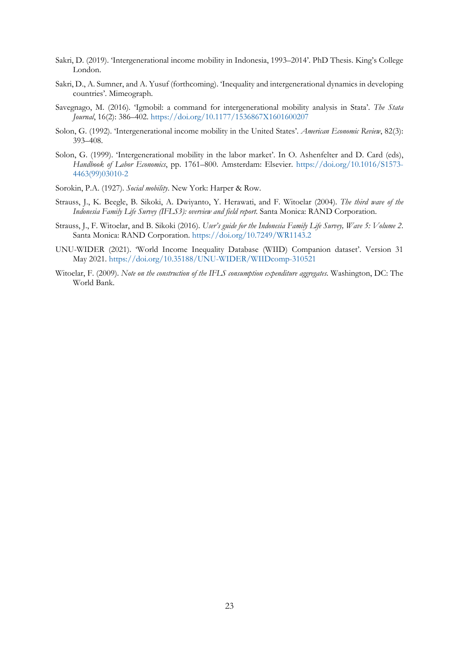- Sakri, D. (2019). 'Intergenerational income mobility in Indonesia, 1993–2014'. PhD Thesis. King's College London.
- Sakri, D., A. Sumner, and A. Yusuf (forthcoming). 'Inequality and intergenerational dynamics in developing countries'. Mimeograph.
- Savegnago, M. (2016). 'Igmobil: a command for intergenerational mobility analysis in Stata'. *The Stata Journal*, 16(2): 386–402. <https://doi.org/10.1177/1536867X1601600207>
- Solon, G. (1992). 'Intergenerational income mobility in the United States'. *American Economic Review*, 82(3): 393–408.
- Solon, G. (1999). 'Intergenerational mobility in the labor market'. In O. Ashenfelter and D. Card (eds), *Handbook of Labor Economics*, pp. 1761–800. Amsterdam: Elsevier. [https://doi.org/10.1016/S1573-](https://doi.org/10.1016/S1573-4463(99)03010-2) [4463\(99\)03010-2](https://doi.org/10.1016/S1573-4463(99)03010-2)
- Sorokin, P.A. (1927). *Social mobility*. New York: Harper & Row.
- Strauss, J., K. Beegle, B. Sikoki, A. Dwiyanto, Y. Herawati, and F. Witoelar (2004). *The third wave of the Indonesia Family Life Survey (IFLS3): overview and field report*. Santa Monica: RAND Corporation.
- Strauss, J., F. Witoelar, and B. Sikoki (2016). *User's guide for the Indonesia Family Life Survey, Wave 5: Volume 2*. Santa Monica: RAND Corporation. <https://doi.org/10.7249/WR1143.2>
- UNU-WIDER (2021). 'World Income Inequality Database (WIID) Companion dataset'. Version 31 May 2021. <https://doi.org/10.35188/UNU-WIDER/WIIDcomp-310521>
- Witoelar, F. (2009). *Note on the construction of the IFLS consumption expenditure aggregates*. Washington, DC: The World Bank.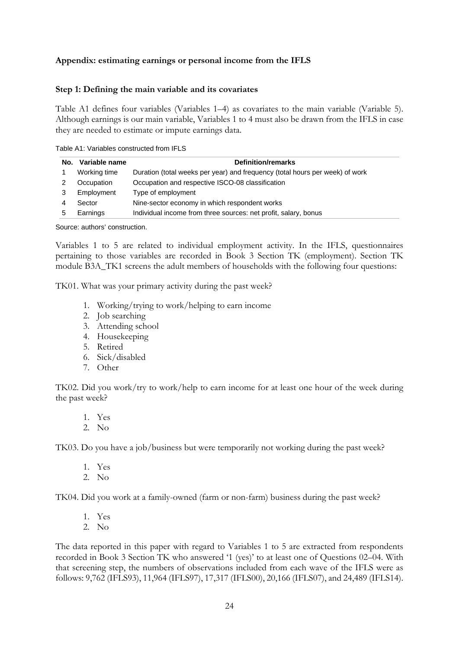# **Appendix: estimating earnings or personal income from the IFLS**

### **Step 1: Defining the main variable and its covariates**

Table A1 defines four variables (Variables 1–4) as covariates to the main variable (Variable 5). Although earnings is our main variable, Variables 1 to 4 must also be drawn from the IFLS in case they are needed to estimate or impute earnings data.

Table A1: Variables constructed from IFLS

| No. | Variable name | <b>Definition/remarks</b>                                                    |
|-----|---------------|------------------------------------------------------------------------------|
|     | Working time  | Duration (total weeks per year) and frequency (total hours per week) of work |
|     | Occupation    | Occupation and respective ISCO-08 classification                             |
|     | Employment    | Type of employment                                                           |
|     | Sector        | Nine-sector economy in which respondent works                                |
|     | Earnings      | Individual income from three sources: net profit, salary, bonus              |

Source: authors' construction.

Variables 1 to 5 are related to individual employment activity. In the IFLS, questionnaires pertaining to those variables are recorded in Book 3 Section TK (employment). Section TK module B3A\_TK1 screens the adult members of households with the following four questions:

TK01. What was your primary activity during the past week?

- 1. Working/trying to work/helping to earn income
- 2. Job searching
- 3. Attending school
- 4. Housekeeping
- 5. Retired
- 6. Sick/disabled
- 7. Other

TK02. Did you work/try to work/help to earn income for at least one hour of the week during the past week?

- 1. Yes
- 2. No

TK03. Do you have a job/business but were temporarily not working during the past week?

- 1. Yes
- 2. No

TK04. Did you work at a family-owned (farm or non-farm) business during the past week?

- 1. Yes
- 2. No

The data reported in this paper with regard to Variables 1 to 5 are extracted from respondents recorded in Book 3 Section TK who answered '1 (yes)' to at least one of Questions 02–04. With that screening step, the numbers of observations included from each wave of the IFLS were as follows: 9,762 (IFLS93), 11,964 (IFLS97), 17,317 (IFLS00), 20,166 (IFLS07), and 24,489 (IFLS14).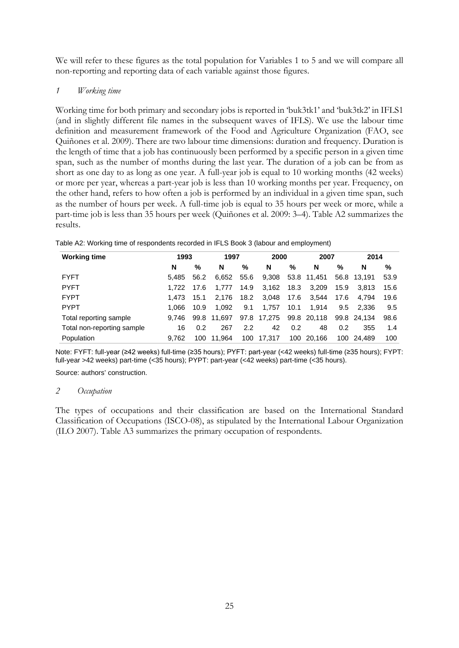We will refer to these figures as the total population for Variables 1 to 5 and we will compare all non-reporting and reporting data of each variable against those figures.

## *1 Working time*

Working time for both primary and secondary jobs is reported in 'buk3tk1' and 'buk3tk2' in IFLS1 (and in slightly different file names in the subsequent waves of IFLS). We use the labour time definition and measurement framework of the Food and Agriculture Organization (FAO, see Quiñones et al. 2009). There are two labour time dimensions: duration and frequency. Duration is the length of time that a job has continuously been performed by a specific person in a given time span, such as the number of months during the last year. The duration of a job can be from as short as one day to as long as one year. A full-year job is equal to 10 working months (42 weeks) or more per year, whereas a part-year job is less than 10 working months per year. Frequency, on the other hand, refers to how often a job is performed by an individual in a given time span, such as the number of hours per week. A full-time job is equal to 35 hours per week or more, while a part-time job is less than 35 hours per week (Quiñones et al. 2009: 3–4). Table A2 summarizes the results.

| <b>Working time</b>        | 1993  |      | 1997        |      | 2000        |      | 2007        |      | 2014        |      |
|----------------------------|-------|------|-------------|------|-------------|------|-------------|------|-------------|------|
|                            | N     | $\%$ | N           | %    | N           | %    | N           | $\%$ | N           | %    |
| <b>FYFT</b>                | 5.485 | 56.2 | 6.652       | 55.6 | 9,308       |      | 53.8 11,451 |      | 56.8 13.191 | 53.9 |
| <b>PYFT</b>                | 1.722 | 17.6 | 1.777       | 14.9 | 3,162       | 18.3 | 3,209       | 15.9 | 3.813       | 15.6 |
| <b>FYPT</b>                | 1.473 | 15.1 | 2.176       | 18.2 | 3,048       | 17.6 | 3.544       | 17.6 | 4.794       | 19.6 |
| <b>PYPT</b>                | 1.066 | 10.9 | 1.092       | 9.1  | 1.757       | 10.1 | 1.914       | 9.5  | 2.336       | 9.5  |
| Total reporting sample     | 9.746 |      | 99.8 11.697 |      | 97.8 17,275 |      | 99.8 20,118 |      | 99.8 24.134 | 98.6 |
| Total non-reporting sample | 16    | 0.2  | 267         | 2.2  | 42          | 0.2  | 48          | 0.2  | 355         | 1.4  |
| Population                 | 9.762 | 100  | 11.964      | 100  | 17,317      | 100  | 20.166      | 100  | 24.489      | 100  |

Table A2: Working time of respondents recorded in IFLS Book 3 (labour and employment)

Note: FYFT: full-year (≥42 weeks) full-time (≥35 hours); PYFT: part-year (<42 weeks) full-time (≥35 hours); FYPT: full-year >42 weeks) part-time (<35 hours); PYPT: part-year (<42 weeks) part-time (<35 hours).

Source: authors' construction.

## *2 Occupation*

The types of occupations and their classification are based on the International Standard Classification of Occupations (ISCO-08), as stipulated by the International Labour Organization (ILO 2007). Table A3 summarizes the primary occupation of respondents.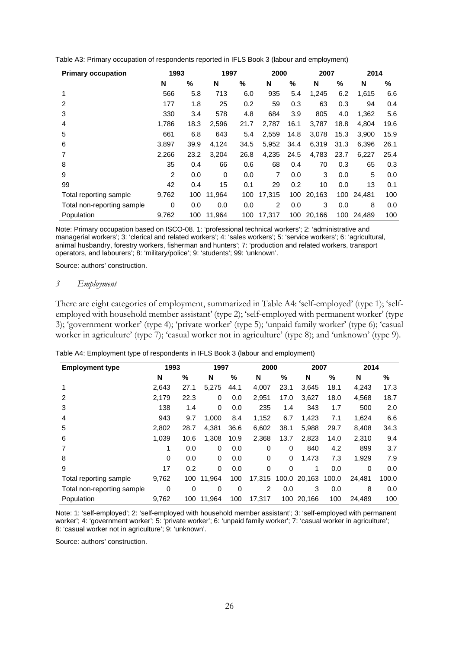| <b>Primary occupation</b>  | 1993  |      | 1997     |      | 2000   |      | 2007   |      | 2014   |      |
|----------------------------|-------|------|----------|------|--------|------|--------|------|--------|------|
|                            | N     | %    | N        | %    | N      | %    | N      | %    | N      | %    |
| 1                          | 566   | 5.8  | 713      | 6.0  | 935    | 5.4  | 1,245  | 6.2  | 1,615  | 6.6  |
| 2                          | 177   | 1.8  | 25       | 0.2  | 59     | 0.3  | 63     | 0.3  | 94     | 0.4  |
| 3                          | 330   | 3.4  | 578      | 4.8  | 684    | 3.9  | 805    | 4.0  | 1,362  | 5.6  |
| 4                          | 1.786 | 18.3 | 2,596    | 21.7 | 2.787  | 16.1 | 3,787  | 18.8 | 4.804  | 19.6 |
| 5                          | 661   | 6.8  | 643      | 5.4  | 2,559  | 14.8 | 3,078  | 15.3 | 3,900  | 15.9 |
| 6                          | 3,897 | 39.9 | 4,124    | 34.5 | 5,952  | 34.4 | 6,319  | 31.3 | 6,396  | 26.1 |
| 7                          | 2,266 | 23.2 | 3,204    | 26.8 | 4,235  | 24.5 | 4,783  | 23.7 | 6,227  | 25.4 |
| 8                          | 35    | 0.4  | 66       | 0.6  | 68     | 0.4  | 70     | 0.3  | 65     | 0.3  |
| 9                          | 2     | 0.0  | $\Omega$ | 0.0  | 7      | 0.0  | 3      | 0.0  | 5      | 0.0  |
| 99                         | 42    | 0.4  | 15       | 0.1  | 29     | 0.2  | 10     | 0.0  | 13     | 0.1  |
| Total reporting sample     | 9,762 | 100  | 11,964   | 100  | 17.315 | 100  | 20,163 | 100  | 24,481 | 100  |
| Total non-reporting sample | 0     | 0.0  | 0.0      | 0.0  | 2      | 0.0  | 3      | 0.0  | 8      | 0.0  |
| Population                 | 9,762 | 100  | 11.964   | 100  | 17.317 | 100  | 20,166 | 100  | 24.489 | 100  |

Table A3: Primary occupation of respondents reported in IFLS Book 3 (labour and employment)

Note: Primary occupation based on ISCO-08. 1: 'professional technical workers'; 2: 'administrative and managerial workers'; 3: 'clerical and related workers'; 4: 'sales workers'; 5: 'service workers'; 6: 'agricultural, animal husbandry, forestry workers, fisherman and hunters'; 7: 'production and related workers, transport operators, and labourers'; 8: 'military/police'; 9: 'students'; 99: 'unknown'.

Source: authors' construction.

#### *3 Employment*

There are eight categories of employment, summarized in Table A4: 'self-employed' (type 1); 'selfemployed with household member assistant' (type 2); 'self-employed with permanent worker' (type 3); 'government worker' (type 4); 'private worker' (type 5); 'unpaid family worker' (type 6); 'casual worker in agriculture' (type 7); 'casual worker not in agriculture' (type 8); and 'unknown' (type 9).

| Table A4: Employment type of respondents in IFLS Book 3 (labour and employment) |  |  |  |
|---------------------------------------------------------------------------------|--|--|--|
|---------------------------------------------------------------------------------|--|--|--|

| <b>Employment type</b>     | 1993  |      | 1997     |      | 2000     |          | 2007   |       | 2014     |       |
|----------------------------|-------|------|----------|------|----------|----------|--------|-------|----------|-------|
|                            | N     | %    | N        | %    | N        | %        | N      | %     | N        | %     |
|                            | 2,643 | 27.1 | 5.275    | 44.1 | 4,007    | 23.1     | 3,645  | 18.1  | 4,243    | 17.3  |
| $\overline{2}$             | 2,179 | 22.3 | $\Omega$ | 0.0  | 2,951    | 17.0     | 3,627  | 18.0  | 4,568    | 18.7  |
| 3                          | 138   | 1.4  | 0        | 0.0  | 235      | 1.4      | 343    | 1.7   | 500      | 2.0   |
| 4                          | 943   | 9.7  | 1.000    | 8.4  | 1,152    | 6.7      | 1,423  | 7.1   | 1,624    | 6.6   |
| 5                          | 2,802 | 28.7 | 4,381    | 36.6 | 6,602    | 38.1     | 5,988  | 29.7  | 8,408    | 34.3  |
| 6                          | 1,039 | 10.6 | 1.308    | 10.9 | 2,368    | 13.7     | 2,823  | 14.0  | 2,310    | 9.4   |
| 7                          | 1     | 0.0  | $\Omega$ | 0.0  | $\Omega$ | 0        | 840    | 4.2   | 899      | 3.7   |
| 8                          | 0     | 0.0  | $\Omega$ | 0.0  | 0        | 0        | 1,473  | 7.3   | 1,929    | 7.9   |
| 9                          | 17    | 0.2  | $\Omega$ | 0.0  | $\Omega$ | $\Omega$ | 1      | 0.0   | $\Omega$ | 0.0   |
| Total reporting sample     | 9,762 | 100  | 11.964   | 100  | 17,315   | 100.0    | 20,163 | 100.0 | 24.481   | 100.0 |
| Total non-reporting sample | 0     | 0    | 0        | 0    | 2        | 0.0      | 3      | 0.0   | 8        | 0.0   |
| Population                 | 9,762 | 100  | 11.964   | 100  | 17.317   | 100      | 20.166 | 100   | 24.489   | 100   |

Note: 1: 'self-employed'; 2: 'self-employed with household member assistant'; 3: 'self-employed with permanent worker'; 4: 'government worker'; 5: 'private worker'; 6: 'unpaid family worker'; 7: 'casual worker in agriculture'; 8: 'casual worker not in agriculture'; 9: 'unknown'.

Source: authors' construction.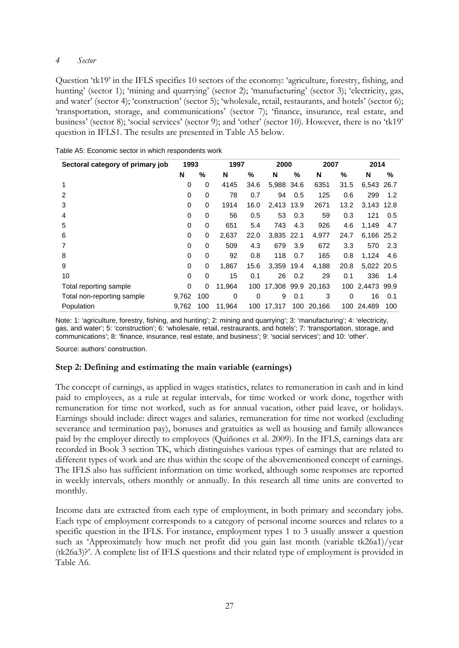## *4 Sector*

Question 'tk19' in the IFLS specifies 10 sectors of the economy: 'agriculture, forestry, fishing, and hunting' (sector 1); 'mining and quarrying' (sector 2); 'manufacturing' (sector 3); 'electricity, gas, and water' (sector 4); 'construction' (sector 5); 'wholesale, retail, restaurants, and hotels' (sector 6); 'transportation, storage, and communications' (sector 7); 'finance, insurance, real estate, and business' (sector 8); 'social services' (sector 9); and 'other' (sector 10). However, there is no 'tk19' question in IFLS1. The results are presented in Table A5 below.

| Sectoral category of primary job | 1993        |          |        | 1997 |                    | 2000 |            | 2007        | 2014            |     |
|----------------------------------|-------------|----------|--------|------|--------------------|------|------------|-------------|-----------------|-----|
|                                  | N           | %        | N      | %    | N                  | %    | N          | %           | N               | %   |
| 1                                | 0           | 0        | 4145   | 34.6 | 5,988 34.6         |      | 6351       | 31.5        | 6,543 26.7      |     |
| 2                                | 0           | 0        | 78     | 0.7  | 94                 | 0.5  | 125        | 0.6         | 299             | 1.2 |
| 3                                | 0           | 0        | 1914   | 16.0 | 2,413 13.9         |      | 2671       | 13.2        | 3,143 12.8      |     |
| 4                                | 0           | 0        | 56     | 0.5  | 53                 | 0.3  | 59         | 0.3         | 121             | 0.5 |
| 5                                | $\mathbf 0$ | 0        | 651    | 5.4  | 743                | 4.3  | 926        | 4.6         | 1,149           | 4.7 |
| 6                                | 0           | 0        | 2,637  | 22.0 | 3,835 22.1         |      | 4,977      | 24.7        | 6,166 25.2      |     |
| 7                                | 0           | 0        | 509    | 4.3  | 679                | 3.9  | 672        | 3.3         | 570             | 2.3 |
| 8                                | 0           | 0        | 92     | 0.8  | 118                | 0.7  | 165        | 0.8         | 1,124           | 4.6 |
| 9                                | 0           | 0        | 1,867  | 15.6 | 3,359              | 19.4 | 4,188      | 20.8        | 5,022 20.5      |     |
| 10                               | 0           | 0        | 15     | 0.1  | 26                 | 0.2  | 29         | 0.1         | 336             | 1.4 |
| Total reporting sample           | 0           | $\Omega$ | 11.964 | 100  | 17,308 99.9 20,163 |      |            |             | 100 2,4473 99.9 |     |
| Total non-reporting sample       | 9,762       | 100      | 0      | 0    | 9                  | 0.1  | 3          | $\mathbf 0$ | 16              | 0.1 |
| Population                       | 9,762       | 100      | 11,964 |      | 100 17,317         |      | 100 20,166 | 100         | 24,489          | 100 |

|  |  | Table A5: Economic sector in which respondents work |  |
|--|--|-----------------------------------------------------|--|
|  |  |                                                     |  |

Note: 1: 'agriculture, forestry, fishing, and hunting'; 2: mining and quarrying'; 3: 'manufacturing'; 4: 'electricity, gas, and water'; 5: 'construction'; 6: 'wholesale, retail, restraurants, and hotels'; 7: 'transportation, storage, and communications'; 8: 'finance, insurance, real estate, and business'; 9: 'social services'; and 10: 'other'.

Source: authors' construction.

#### **Step 2: Defining and estimating the main variable (earnings)**

The concept of earnings, as applied in wages statistics, relates to remuneration in cash and in kind paid to employees, as a rule at regular intervals, for time worked or work done, together with remuneration for time not worked, such as for annual vacation, other paid leave, or holidays. Earnings should include: direct wages and salaries, remuneration for time not worked (excluding severance and termination pay), bonuses and gratuities as well as housing and family allowances paid by the employer directly to employees (Quiñones et al. 2009). In the IFLS, earnings data are recorded in Book 3 section TK, which distinguishes various types of earnings that are related to different types of work and are thus within the scope of the abovementioned concept of earnings. The IFLS also has sufficient information on time worked, although some responses are reported in weekly intervals, others monthly or annually. In this research all time units are converted to monthly.

Income data are extracted from each type of employment, in both primary and secondary jobs. Each type of employment corresponds to a category of personal income sources and relates to a specific question in the IFLS. For instance, employment types 1 to 3 usually answer a question such as 'Approximately how much net profit did you gain last month (variable tk26a1)/year (tk26a3)?'. A complete list of IFLS questions and their related type of employment is provided in Table A6.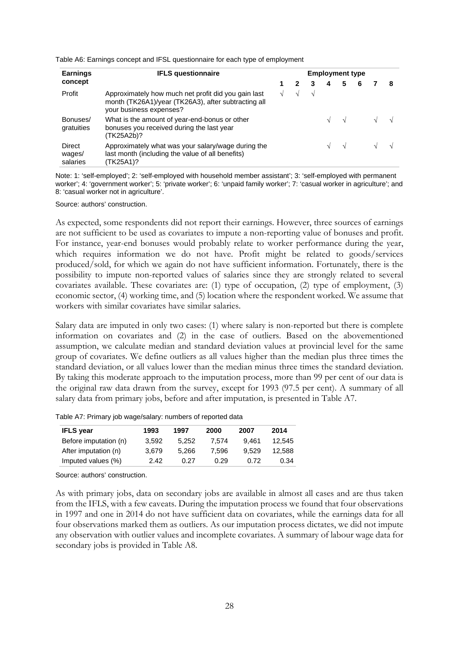|  |  | Table A6: Earnings concept and IFSL questionnaire for each type of employment |  |  |
|--|--|-------------------------------------------------------------------------------|--|--|
|  |  |                                                                               |  |  |

| <b>Earnings</b>              | <b>Employment type</b>                                                                                                                |  |  |  |   |            |  |  |  |  |  |
|------------------------------|---------------------------------------------------------------------------------------------------------------------------------------|--|--|--|---|------------|--|--|--|--|--|
| concept                      |                                                                                                                                       |  |  |  | 4 | 5          |  |  |  |  |  |
| Profit                       | Approximately how much net profit did you gain last<br>month (TK26A1)/year (TK26A3), after subtracting all<br>your business expenses? |  |  |  |   |            |  |  |  |  |  |
| Bonuses/<br>gratuities       | What is the amount of year-end-bonus or other<br>bonuses you received during the last year<br>(TK25A2b)?                              |  |  |  |   | $\sqrt{ }$ |  |  |  |  |  |
| Direct<br>wages/<br>salaries | Approximately what was your salary/wage during the<br>last month (including the value of all benefits)<br>(TK25A1)?                   |  |  |  |   | $\sqrt{ }$ |  |  |  |  |  |

Note: 1: 'self-employed'; 2: 'self-employed with household member assistant'; 3: 'self-employed with permanent worker'; 4: 'government worker'; 5: 'private worker'; 6: 'unpaid family worker'; 7: 'casual worker in agriculture'; and 8: 'casual worker not in agriculture'.

Source: authors' construction.

As expected, some respondents did not report their earnings. However, three sources of earnings are not sufficient to be used as covariates to impute a non-reporting value of bonuses and profit. For instance, year-end bonuses would probably relate to worker performance during the year, which requires information we do not have. Profit might be related to goods/services produced/sold, for which we again do not have sufficient information. Fortunately, there is the possibility to impute non-reported values of salaries since they are strongly related to several covariates available. These covariates are: (1) type of occupation, (2) type of employment, (3) economic sector, (4) working time, and (5) location where the respondent worked. We assume that workers with similar covariates have similar salaries.

Salary data are imputed in only two cases: (1) where salary is non-reported but there is complete information on covariates and (2) in the case of outliers. Based on the abovementioned assumption, we calculate median and standard deviation values at provincial level for the same group of covariates. We define outliers as all values higher than the median plus three times the standard deviation, or all values lower than the median minus three times the standard deviation. By taking this moderate approach to the imputation process, more than 99 per cent of our data is the original raw data drawn from the survey, except for 1993 (97.5 per cent). A summary of all salary data from primary jobs, before and after imputation, is presented in Table A7.

|  |  |  | Table A7: Primary job wage/salary: numbers of reported data |  |  |
|--|--|--|-------------------------------------------------------------|--|--|
|  |  |  |                                                             |  |  |

| <b>IFLS</b> year      | 1993  | 1997  | 2000  | 2007  | 2014   |
|-----------------------|-------|-------|-------|-------|--------|
| Before imputation (n) | 3.592 | 5.252 | 7.574 | 9.461 | 12.545 |
| After imputation (n)  | 3.679 | 5.266 | 7.596 | 9.529 | 12.588 |
| Imputed values (%)    | 2.42  | 0.27  | 0.29  | በ 72  | 0.34   |

Source: authors' construction.

As with primary jobs, data on secondary jobs are available in almost all cases and are thus taken from the IFLS, with a few caveats. During the imputation process we found that four observations in 1997 and one in 2014 do not have sufficient data on covariates, while the earnings data for all four observations marked them as outliers. As our imputation process dictates, we did not impute any observation with outlier values and incomplete covariates. A summary of labour wage data for secondary jobs is provided in Table A8.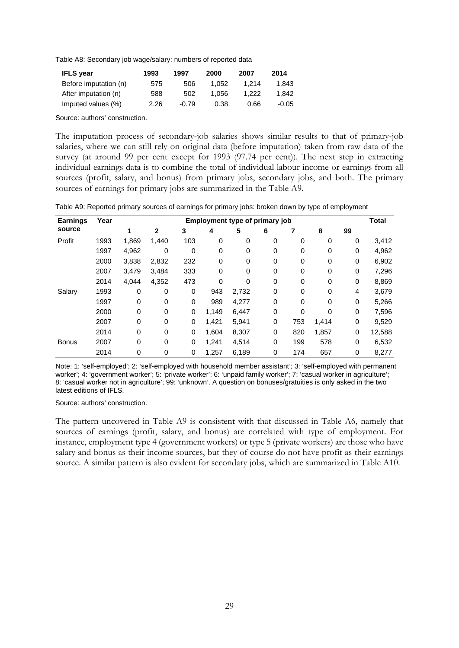Table A8: Secondary job wage/salary: numbers of reported data

| <b>IFLS</b> year      | 1993 | 1997    | 2000  | 2007  | 2014    |
|-----------------------|------|---------|-------|-------|---------|
| Before imputation (n) | 575  | 506     | 1.052 | 1.214 | 1.843   |
| After imputation (n)  | 588  | 502     | 1.056 | 1.222 | 1.842   |
| Imputed values (%)    | 2.26 | $-0.79$ | 0.38  | 0.66  | $-0.05$ |
|                       |      |         |       |       |         |

Source: authors' construction.

The imputation process of secondary-job salaries shows similar results to that of primary-job salaries, where we can still rely on original data (before imputation) taken from raw data of the survey (at around 99 per cent except for 1993 (97.74 per cent)). The next step in extracting individual earnings data is to combine the total of individual labour income or earnings from all sources (profit, salary, and bonus) from primary jobs, secondary jobs, and both. The primary sources of earnings for primary jobs are summarized in the Table A9.

Table A9: Reported primary sources of earnings for primary jobs: broken down by type of employment

| <b>Earnings</b> | Year | Employment type of primary job |             |     |       |       |   |             |       |    | <b>Total</b> |
|-----------------|------|--------------------------------|-------------|-----|-------|-------|---|-------------|-------|----|--------------|
| source          |      |                                | 2           | 3   | 4     | 5     | 6 |             | 8     | 99 |              |
| Profit          | 1993 | 1,869                          | 1,440       | 103 | 0     | 0     | 0 | 0           | 0     | 0  | 3,412        |
|                 | 1997 | 4,962                          | 0           | 0   | 0     | 0     | 0 | $\mathbf 0$ | 0     | 0  | 4,962        |
|                 | 2000 | 3,838                          | 2,832       | 232 | 0     | 0     | 0 | $\mathbf 0$ | 0     | 0  | 6,902        |
|                 | 2007 | 3,479                          | 3,484       | 333 | 0     | 0     | 0 | $\mathbf 0$ | 0     | 0  | 7,296        |
|                 | 2014 | 4,044                          | 4,352       | 473 | 0     | 0     | 0 | $\mathbf 0$ | 0     | 0  | 8,869        |
| Salary          | 1993 | 0                              | $\mathbf 0$ | 0   | 943   | 2,732 | 0 | $\mathbf 0$ | 0     | 4  | 3,679        |
|                 | 1997 | 0                              | $\mathbf 0$ | 0   | 989   | 4,277 | 0 | $\Omega$    | 0     | 0  | 5,266        |
|                 | 2000 | 0                              | 0           | 0   | 1,149 | 6,447 | 0 | $\mathbf 0$ | 0     | 0  | 7,596        |
|                 | 2007 | 0                              | $\mathbf 0$ | 0   | 1,421 | 5,941 | 0 | 753         | 1,414 | 0  | 9,529        |
|                 | 2014 | 0                              | $\Omega$    | 0   | 1.604 | 8,307 | 0 | 820         | 1,857 | 0  | 12,588       |
| <b>Bonus</b>    | 2007 | 0                              | $\mathbf 0$ | 0   | 1,241 | 4,514 | 0 | 199         | 578   | 0  | 6,532        |
|                 | 2014 | 0                              | 0           | 0   | 1,257 | 6,189 | 0 | 174         | 657   | 0  | 8,277        |

Note: 1: 'self-employed'; 2: 'self-employed with household member assistant'; 3: 'self-employed with permanent worker'; 4: 'government worker'; 5: 'private worker'; 6: 'unpaid family worker'; 7: 'casual worker in agriculture'; 8: 'casual worker not in agriculture'; 99: 'unknown'. A question on bonuses/gratuities is only asked in the two latest editions of IFLS.

Source: authors' construction.

The pattern uncovered in Table A9 is consistent with that discussed in Table A6, namely that sources of earnings (profit, salary, and bonus) are correlated with type of employment. For instance, employment type 4 (government workers) or type 5 (private workers) are those who have salary and bonus as their income sources, but they of course do not have profit as their earnings source. A similar pattern is also evident for secondary jobs, which are summarized in Table A10.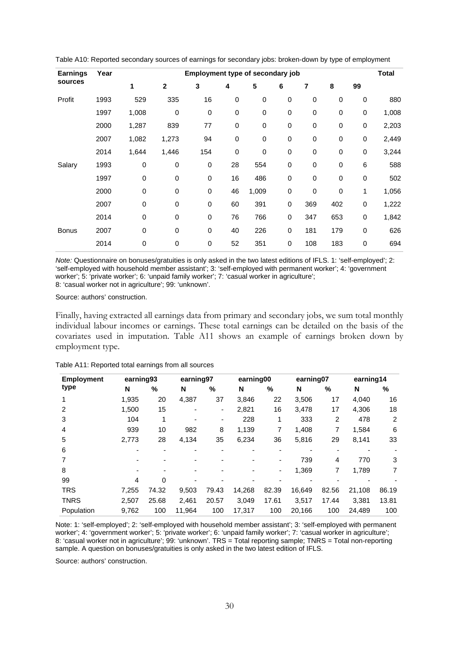|      |             |                                       | Employment type of secondary job<br>Year |             |             |             |             |             |             |       |  |  |
|------|-------------|---------------------------------------|------------------------------------------|-------------|-------------|-------------|-------------|-------------|-------------|-------|--|--|
|      |             |                                       |                                          |             |             |             |             |             |             |       |  |  |
|      |             | $\overline{2}$                        | 3                                        | 4           | 5           | 6           | 7           | 8           | 99          |       |  |  |
| 1993 | 529         | 335                                   | 16                                       | $\mathbf 0$ | $\pmb{0}$   | $\mathbf 0$ | $\mathbf 0$ | 0           | $\pmb{0}$   | 880   |  |  |
| 1997 |             | 0                                     | 0                                        | $\mathbf 0$ | $\mathbf 0$ | 0           | $\mathbf 0$ | $\mathbf 0$ | $\mathbf 0$ | 1,008 |  |  |
| 2000 |             | 839                                   | 77                                       | 0           | 0           | $\,0\,$     | 0           | 0           | 0           | 2,203 |  |  |
| 2007 |             | 1,273                                 | 94                                       | 0           | $\pmb{0}$   | $\mathbf 0$ | $\mathbf 0$ | 0           | 0           | 2,449 |  |  |
| 2014 |             | 1,446                                 | 154                                      | $\mathbf 0$ | $\mathbf 0$ | $\mathbf 0$ | $\mathbf 0$ | $\mathbf 0$ | $\pmb{0}$   | 3,244 |  |  |
| 1993 | 0           | 0                                     | 0                                        | 28          | 554         | $\pmb{0}$   | $\mathbf 0$ | 0           | 6           | 588   |  |  |
| 1997 | 0           | $\mathbf 0$                           | 0                                        | 16          | 486         | $\mathbf 0$ | $\mathbf 0$ | $\mathbf 0$ | 0           | 502   |  |  |
| 2000 | 0           | $\mathbf 0$                           | 0                                        | 46          | 1,009       | $\mathbf 0$ | $\mathbf 0$ | $\mathbf 0$ | 1           | 1,056 |  |  |
| 2007 | 0           | $\mathbf 0$                           | 0                                        | 60          | 391         | 0           | 369         | 402         | 0           | 1,222 |  |  |
| 2014 | $\mathbf 0$ | $\mathbf 0$                           | 0                                        | 76          | 766         | 0           | 347         | 653         | 0           | 1,842 |  |  |
| 2007 | 0           | $\mathbf 0$                           | 0                                        | 40          | 226         | 0           | 181         | 179         | 0           | 626   |  |  |
| 2014 | 0           | $\mathbf 0$                           | 0                                        | 52          | 351         | 0           | 108         | 183         | 0           | 694   |  |  |
|      |             | 1<br>1,008<br>1,287<br>1,082<br>1,644 |                                          |             |             |             |             |             |             |       |  |  |

Table A10: Reported secondary sources of earnings for secondary jobs: broken-down by type of employment

*Note:* Questionnaire on bonuses/gratuities is only asked in the two latest editions of IFLS. 1: 'self-employed'; 2: 'self-employed with household member assistant'; 3: 'self-employed with permanent worker'; 4: 'government worker'; 5: 'private worker'; 6: 'unpaid family worker'; 7: 'casual worker in agriculture'; 8: 'casual worker not in agriculture'; 99: 'unknown'.

Source: authors' construction.

Finally, having extracted all earnings data from primary and secondary jobs, we sum total monthly individual labour incomes or earnings. These total earnings can be detailed on the basis of the covariates used in imputation. Table A11 shows an example of earnings broken down by employment type.

| <b>Employment</b> | earning93 |       |        | earning97 |        | earning00 |        | earning07      |        | earning14 |
|-------------------|-----------|-------|--------|-----------|--------|-----------|--------|----------------|--------|-----------|
| type              | N         | %     | N      | %         | N      | %         | N      | %              | N      | %         |
| 1                 | 1,935     | 20    | 4,387  | 37        | 3,846  | 22        | 3,506  | 17             | 4,040  | 16        |
| 2                 | 1,500     | 15    |        | ٠         | 2,821  | 16        | 3,478  | 17             | 4,306  | 18        |
| 3                 | 104       | 1     |        | ٠         | 228    | 1         | 333    | 2              | 478    | 2         |
| 4                 | 939       | 10    | 982    | 8         | 1,139  | 7         | 1,408  | 7              | 1,584  | 6         |
| 5                 | 2,773     | 28    | 4,134  | 35        | 6,234  | 36        | 5,816  | 29             | 8,141  | 33        |
| 6                 |           |       |        |           |        |           | ۰      | $\blacksquare$ |        |           |
|                   |           |       |        |           |        |           | 739    | 4              | 770    | 3         |
| 8                 |           |       |        |           |        | ٠         | 1,369  | 7              | 1,789  | 7         |
| 99                | 4         | 0     |        |           |        |           |        |                |        |           |
| <b>TRS</b>        | 7,255     | 74.32 | 9,503  | 79.43     | 14,268 | 82.39     | 16,649 | 82.56          | 21,108 | 86.19     |
| <b>TNRS</b>       | 2,507     | 25.68 | 2,461  | 20.57     | 3,049  | 17.61     | 3,517  | 17.44          | 3,381  | 13.81     |
| Population        | 9,762     | 100   | 11,964 | 100       | 17,317 | 100       | 20,166 | 100            | 24,489 | 100       |

Table A11: Reported total earnings from all sources

Note: 1: 'self-employed'; 2: 'self-employed with household member assistant'; 3: 'self-employed with permanent worker'; 4: 'government worker'; 5: 'private worker'; 6: 'unpaid family worker'; 7: 'casual worker in agriculture'; 8: 'casual worker not in agriculture'; 99: 'unknown'. TRS = Total reporting sample; TNRS = Total non-reporting sample. A question on bonuses/gratuities is only asked in the two latest edition of IFLS.

Source: authors' construction.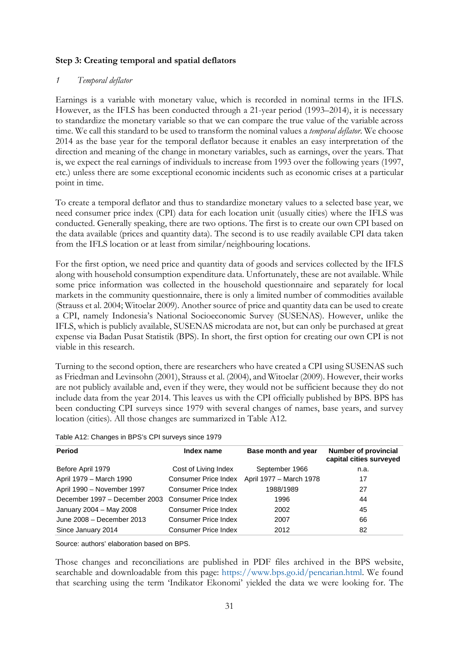# **Step 3: Creating temporal and spatial deflators**

## *1 Temporal deflator*

Earnings is a variable with monetary value, which is recorded in nominal terms in the IFLS. However, as the IFLS has been conducted through a 21-year period (1993–2014), it is necessary to standardize the monetary variable so that we can compare the true value of the variable across time. We call this standard to be used to transform the nominal values a *temporal deflator*. We choose 2014 as the base year for the temporal deflator because it enables an easy interpretation of the direction and meaning of the change in monetary variables, such as earnings, over the years. That is, we expect the real earnings of individuals to increase from 1993 over the following years (1997, etc.) unless there are some exceptional economic incidents such as economic crises at a particular point in time.

To create a temporal deflator and thus to standardize monetary values to a selected base year, we need consumer price index (CPI) data for each location unit (usually cities) where the IFLS was conducted. Generally speaking, there are two options. The first is to create our own CPI based on the data available (prices and quantity data). The second is to use readily available CPI data taken from the IFLS location or at least from similar/neighbouring locations.

For the first option, we need price and quantity data of goods and services collected by the IFLS along with household consumption expenditure data. Unfortunately, these are not available. While some price information was collected in the household questionnaire and separately for local markets in the community questionnaire, there is only a limited number of commodities available (Strauss et al. 2004; Witoelar 2009). Another source of price and quantity data can be used to create a CPI, namely Indonesia's National Socioeconomic Survey (SUSENAS). However, unlike the IFLS, which is publicly available, SUSENAS microdata are not, but can only be purchased at great expense via Badan Pusat Statistik (BPS). In short, the first option for creating our own CPI is not viable in this research.

Turning to the second option, there are researchers who have created a CPI using SUSENAS such as Friedman and Levinsohn (2001), Strauss et al. (2004), and Witoelar (2009). However, their works are not publicly available and, even if they were, they would not be sufficient because they do not include data from the year 2014. This leaves us with the CPI officially published by BPS. BPS has been conducting CPI surveys since 1979 with several changes of names, base years, and survey location (cities). All those changes are summarized in Table A12.

| Table A12: Changes in BPS's CPI surveys since 1979 |  |  |
|----------------------------------------------------|--|--|
|                                                    |  |  |

| <b>Period</b>                 | Index name                  | Base month and year     | <b>Number of provincial</b><br>capital cities surveyed |
|-------------------------------|-----------------------------|-------------------------|--------------------------------------------------------|
| Before April 1979             | Cost of Living Index        | September 1966          | n.a.                                                   |
| April 1979 - March 1990       | Consumer Price Index        | April 1977 – March 1978 | 17                                                     |
| April 1990 - November 1997    | Consumer Price Index        | 1988/1989               | 27                                                     |
| December 1997 – December 2003 | Consumer Price Index        | 1996                    | 44                                                     |
| January 2004 - May 2008       | Consumer Price Index        | 2002                    | 45                                                     |
| June 2008 - December 2013     | <b>Consumer Price Index</b> | 2007                    | 66                                                     |
| Since January 2014            | Consumer Price Index        | 2012                    | 82                                                     |

Source: authors' elaboration based on BPS.

Those changes and reconciliations are published in PDF files archived in the BPS website, searchable and downloadable from this page: [https://www.bps.go.id/pencarian.html.](https://www.bps.go.id/pencarian.html) We found that searching using the term 'Indikator Ekonomi' yielded the data we were looking for. The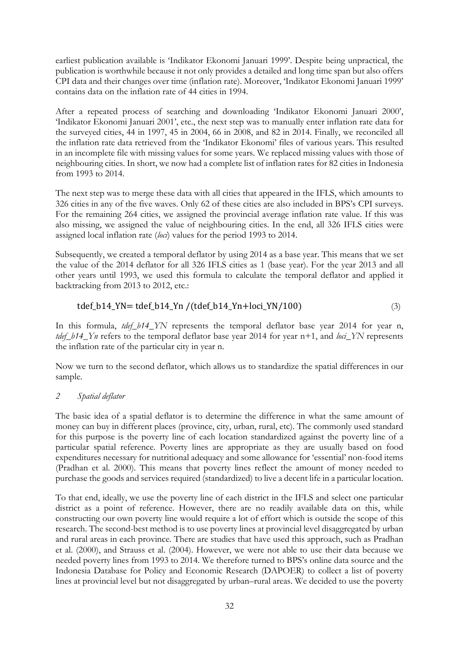earliest publication available is 'Indikator Ekonomi Januari 1999'. Despite being unpractical, the publication is worthwhile because it not only provides a detailed and long time span but also offers CPI data and their changes over time (inflation rate). Moreover, 'Indikator Ekonomi Januari 1999' contains data on the inflation rate of 44 cities in 1994.

After a repeated process of searching and downloading 'Indikator Ekonomi Januari 2000', 'Indikator Ekonomi Januari 2001', etc., the next step was to manually enter inflation rate data for the surveyed cities, 44 in 1997, 45 in 2004, 66 in 2008, and 82 in 2014. Finally, we reconciled all the inflation rate data retrieved from the 'Indikator Ekonomi' files of various years. This resulted in an incomplete file with missing values for some years. We replaced missing values with those of neighbouring cities. In short, we now had a complete list of inflation rates for 82 cities in Indonesia from 1993 to 2014.

The next step was to merge these data with all cities that appeared in the IFLS, which amounts to 326 cities in any of the five waves. Only 62 of these cities are also included in BPS's CPI surveys. For the remaining 264 cities, we assigned the provincial average inflation rate value. If this was also missing, we assigned the value of neighbouring cities. In the end, all 326 IFLS cities were assigned local inflation rate (*loci*) values for the period 1993 to 2014.

Subsequently, we created a temporal deflator by using 2014 as a base year. This means that we set the value of the 2014 deflator for all 326 IFLS cities as 1 (base year). For the year 2013 and all other years until 1993, we used this formula to calculate the temporal deflator and applied it backtracking from 2013 to 2012, etc.:

# tdef\_b14\_YN= tdef\_b14\_Yn /(tdef\_b14\_Yn+loci\_YN/100) (3)

In this formula, *tdef b14 YN* represents the temporal deflator base year 2014 for year n, *tdef b14. Yn* refers to the temporal deflator base year 2014 for year n+1, and *loci YN* represents the inflation rate of the particular city in year n.

Now we turn to the second deflator, which allows us to standardize the spatial differences in our sample.

## *2 Spatial deflator*

The basic idea of a spatial deflator is to determine the difference in what the same amount of money can buy in different places (province, city, urban, rural, etc). The commonly used standard for this purpose is the poverty line of each location standardized against the poverty line of a particular spatial reference. Poverty lines are appropriate as they are usually based on food expenditures necessary for nutritional adequacy and some allowance for 'essential' non-food items (Pradhan et al. 2000). This means that poverty lines reflect the amount of money needed to purchase the goods and services required (standardized) to live a decent life in a particular location.

To that end, ideally, we use the poverty line of each district in the IFLS and select one particular district as a point of reference. However, there are no readily available data on this, while constructing our own poverty line would require a lot of effort which is outside the scope of this research. The second-best method is to use poverty lines at provincial level disaggregated by urban and rural areas in each province. There are studies that have used this approach, such as Pradhan et al. (2000), and Strauss et al. (2004). However, we were not able to use their data because we needed poverty lines from 1993 to 2014. We therefore turned to BPS's online data source and the Indonesia Database for Policy and Economic Research (DAPOER) to collect a list of poverty lines at provincial level but not disaggregated by urban–rural areas. We decided to use the poverty